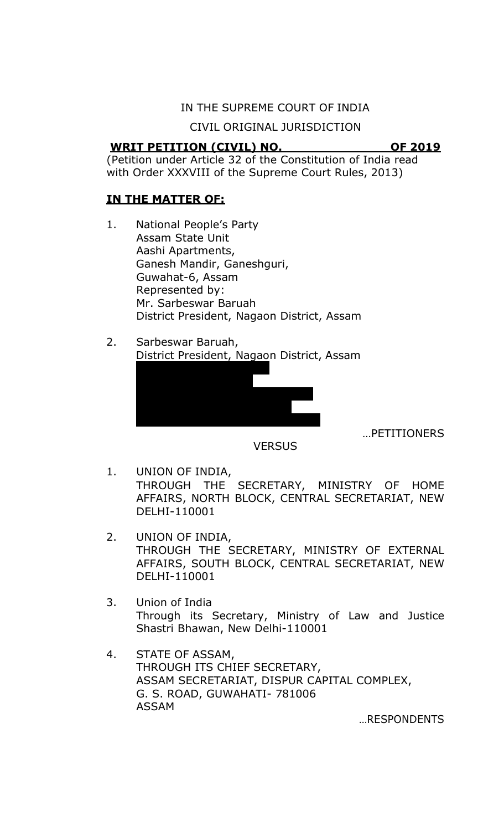### IN THE SUPREME COURT OF INDIA

CIVIL ORIGINAL JURISDICTION

## **WRIT PETITION (CIVIL) NO. OF 2019**

(Petition under Article 32 of the Constitution of India read with Order XXXVIII of the Supreme Court Rules, 2013)

# **IN THE MATTER OF:**

- 1. National People's Party Assam State Unit Aashi Apartments, Ganesh Mandir, Ganeshguri, Guwahat-6, Assam Represented by: Mr. Sarbeswar Baruah District President, Nagaon District, Assam
- 2. Sarbeswar Baruah, District President, Nagaon District, Assam



…PETITIONERS

- **VERSUS**
- 1. UNION OF INDIA, THROUGH THE SECRETARY, MINISTRY OF HOME AFFAIRS, NORTH BLOCK, CENTRAL SECRETARIAT, NEW DELHI-110001
- 2. UNION OF INDIA, THROUGH THE SECRETARY, MINISTRY OF EXTERNAL AFFAIRS, SOUTH BLOCK, CENTRAL SECRETARIAT, NEW DELHI-110001
- 3. Union of India Through its Secretary, Ministry of Law and Justice Shastri Bhawan, New Delhi-110001
- 4. STATE OF ASSAM, THROUGH ITS CHIEF SECRETARY, ASSAM SECRETARIAT, DISPUR CAPITAL COMPLEX, G. S. ROAD, GUWAHATI- 781006 ASSAM

…RESPONDENTS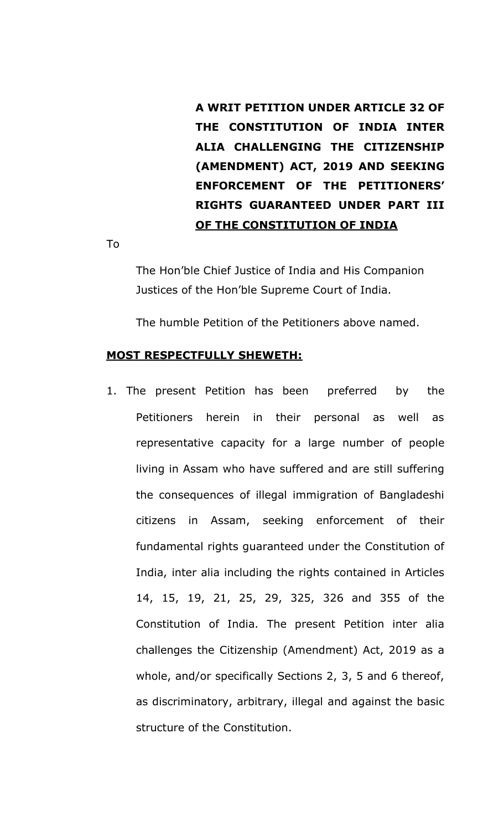**A WRIT PETITION UNDER ARTICLE 32 OF THE CONSTITUTION OF INDIA INTER ALIA CHALLENGING THE CITIZENSHIP (AMENDMENT) ACT, 2019 AND SEEKING ENFORCEMENT OF THE PETITIONERS' RIGHTS GUARANTEED UNDER PART III OF THE CONSTITUTION OF INDIA**

To

The Hon'ble Chief Justice of India and His Companion Justices of the Hon'ble Supreme Court of India.

The humble Petition of the Petitioners above named.

#### **MOST RESPECTFULLY SHEWETH:**

1. The present Petition has been preferred by the Petitioners herein in their personal as well as representative capacity for a large number of people living in Assam who have suffered and are still suffering the consequences of illegal immigration of Bangladeshi citizens in Assam, seeking enforcement of their fundamental rights guaranteed under the Constitution of India, inter alia including the rights contained in Articles 14, 15, 19, 21, 25, 29, 325, 326 and 355 of the Constitution of India. The present Petition inter alia challenges the Citizenship (Amendment) Act, 2019 as a whole, and/or specifically Sections 2, 3, 5 and 6 thereof, as discriminatory, arbitrary, illegal and against the basic structure of the Constitution.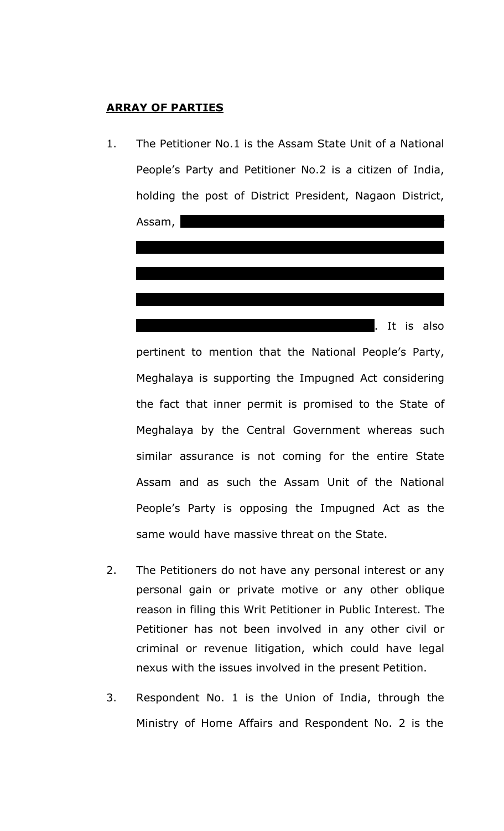# **ARRAY OF PARTIES**



pertinent to mention that the National People's Party, Meghalaya is supporting the Impugned Act considering the fact that inner permit is promised to the State of Meghalaya by the Central Government whereas such similar assurance is not coming for the entire State Assam and as such the Assam Unit of the National People's Party is opposing the Impugned Act as the same would have massive threat on the State.

- 2. The Petitioners do not have any personal interest or any personal gain or private motive or any other oblique reason in filing this Writ Petitioner in Public Interest. The Petitioner has not been involved in any other civil or criminal or revenue litigation, which could have legal nexus with the issues involved in the present Petition.
- 3. Respondent No. 1 is the Union of India, through the Ministry of Home Affairs and Respondent No. 2 is the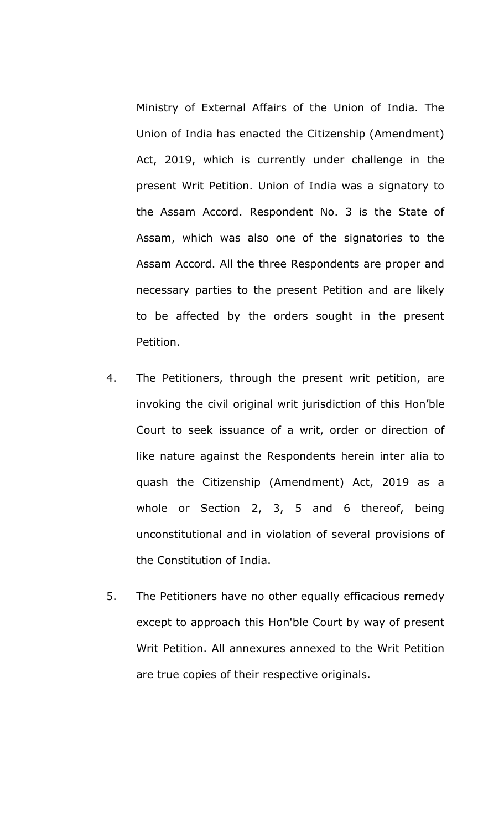Ministry of External Affairs of the Union of India. The Union of India has enacted the Citizenship (Amendment) Act, 2019, which is currently under challenge in the present Writ Petition. Union of India was a signatory to the Assam Accord. Respondent No. 3 is the State of Assam, which was also one of the signatories to the Assam Accord. All the three Respondents are proper and necessary parties to the present Petition and are likely to be affected by the orders sought in the present Petition.

- 4. The Petitioners, through the present writ petition, are invoking the civil original writ jurisdiction of this Hon'ble Court to seek issuance of a writ, order or direction of like nature against the Respondents herein inter alia to quash the Citizenship (Amendment) Act, 2019 as a whole or Section 2, 3, 5 and 6 thereof, being unconstitutional and in violation of several provisions of the Constitution of India.
- 5. The Petitioners have no other equally efficacious remedy except to approach this Hon'ble Court by way of present Writ Petition. All annexures annexed to the Writ Petition are true copies of their respective originals.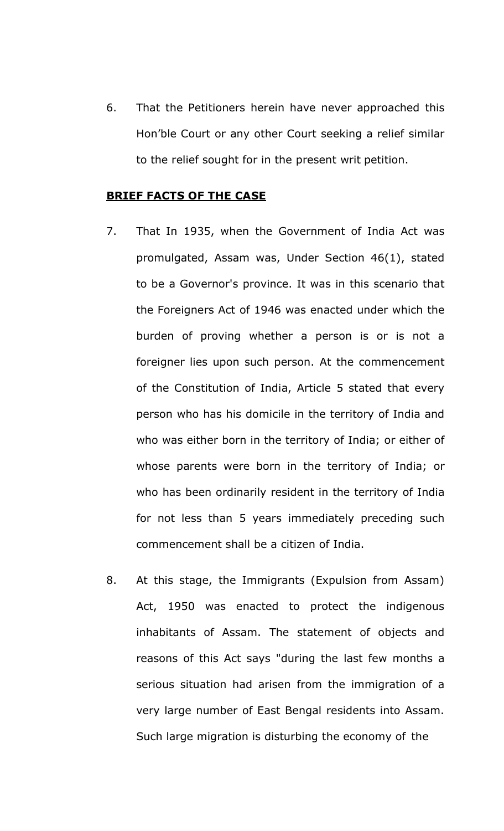6. That the Petitioners herein have never approached this Hon'ble Court or any other Court seeking a relief similar to the relief sought for in the present writ petition.

#### **BRIEF FACTS OF THE CASE**

- 7. That In 1935, when the Government of India Act was promulgated, Assam was, Under Section 46(1), stated to be a Governor's province. It was in this scenario that the Foreigners Act of 1946 was enacted under which the burden of proving whether a person is or is not a foreigner lies upon such person. At the commencement of the Constitution of India, Article 5 stated that every person who has his domicile in the territory of India and who was either born in the territory of India; or either of whose parents were born in the territory of India; or who has been ordinarily resident in the territory of India for not less than 5 years immediately preceding such commencement shall be a citizen of India.
- 8. At this stage, the Immigrants (Expulsion from Assam) Act, 1950 was enacted to protect the indigenous inhabitants of Assam. The statement of objects and reasons of this Act says "during the last few months a serious situation had arisen from the immigration of a very large number of East Bengal residents into Assam. Such large migration is disturbing the economy of the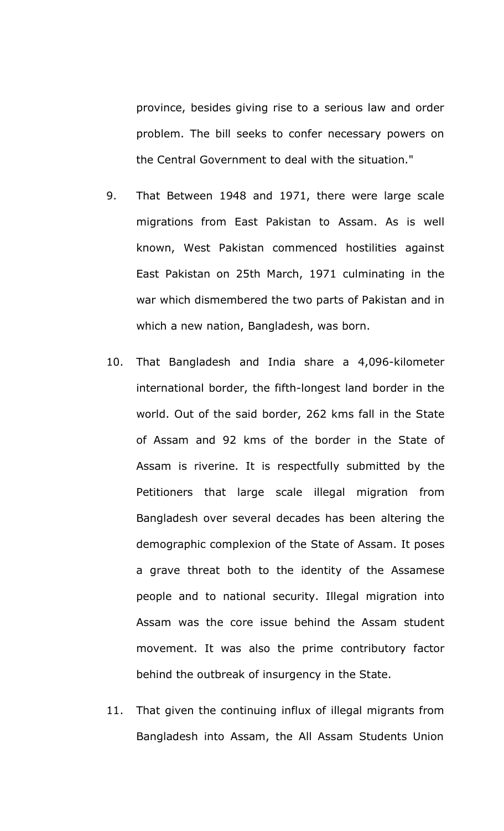province, besides giving rise to a serious law and order problem. The bill seeks to confer necessary powers on the Central Government to deal with the situation."

- 9. That Between 1948 and 1971, there were large scale migrations from East Pakistan to Assam. As is well known, West Pakistan commenced hostilities against East Pakistan on 25th March, 1971 culminating in the war which dismembered the two parts of Pakistan and in which a new nation, Bangladesh, was born.
- 10. That Bangladesh and India share a 4,096-kilometer international border, the fifth-longest land border in the world. Out of the said border, 262 kms fall in the State of Assam and 92 kms of the border in the State of Assam is riverine. It is respectfully submitted by the Petitioners that large scale illegal migration from Bangladesh over several decades has been altering the demographic complexion of the State of Assam. It poses a grave threat both to the identity of the Assamese people and to national security. Illegal migration into Assam was the core issue behind the Assam student movement. It was also the prime contributory factor behind the outbreak of insurgency in the State.
- 11. That given the continuing influx of illegal migrants from Bangladesh into Assam, the All Assam Students Union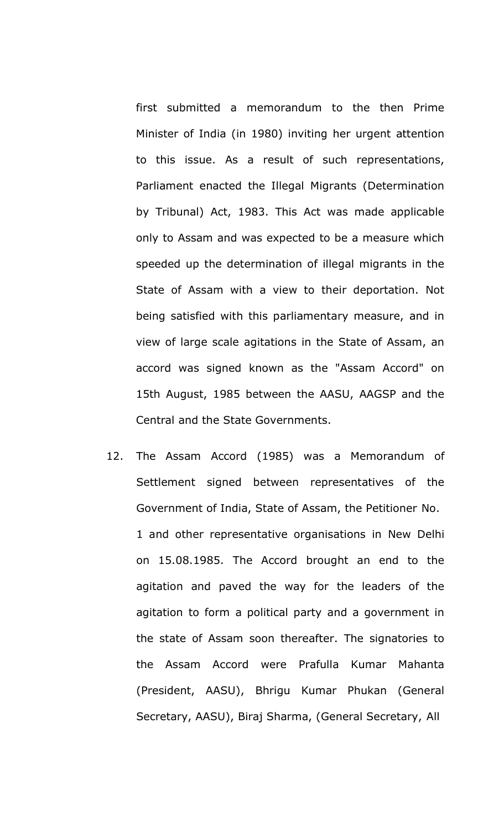first submitted a memorandum to the then Prime Minister of India (in 1980) inviting her urgent attention to this issue. As a result of such representations, Parliament enacted the Illegal Migrants (Determination by Tribunal) Act, 1983. This Act was made applicable only to Assam and was expected to be a measure which speeded up the determination of illegal migrants in the State of Assam with a view to their deportation. Not being satisfied with this parliamentary measure, and in view of large scale agitations in the State of Assam, an accord was signed known as the "Assam Accord" on 15th August, 1985 between the AASU, AAGSP and the Central and the State Governments.

12. The Assam Accord (1985) was a Memorandum of Settlement signed between representatives of the Government of India, State of Assam, the Petitioner No. 1 and other representative organisations in New Delhi on 15.08.1985. The Accord brought an end to the agitation and paved the way for the leaders of the agitation to form a political party and a government in the state of Assam soon thereafter. The signatories to the Assam Accord were Prafulla Kumar Mahanta (President, AASU), Bhrigu Kumar Phukan (General Secretary, AASU), Biraj Sharma, (General Secretary, All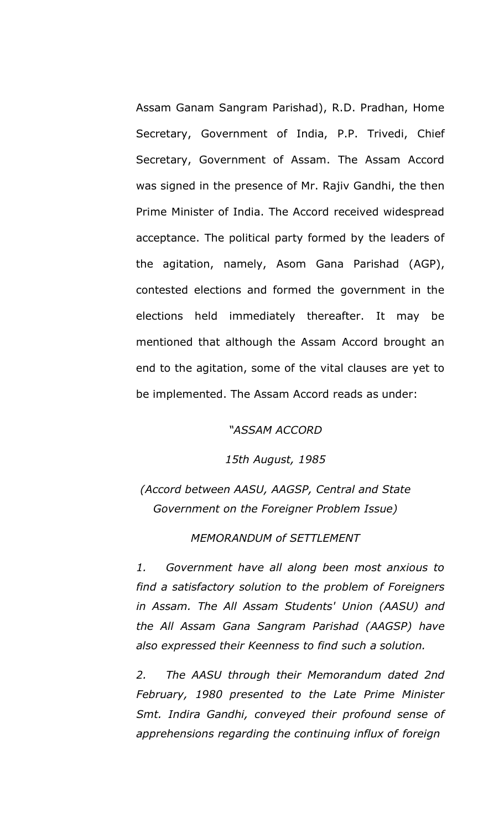Assam Ganam Sangram Parishad), R.D. Pradhan, Home Secretary, Government of India, P.P. Trivedi, Chief Secretary, Government of Assam. The Assam Accord was signed in the presence of Mr. Rajiv Gandhi, the then Prime Minister of India. The Accord received widespread acceptance. The political party formed by the leaders of the agitation, namely, Asom Gana Parishad (AGP), contested elections and formed the government in the elections held immediately thereafter. It may be mentioned that although the Assam Accord brought an end to the agitation, some of the vital clauses are yet to be implemented. The Assam Accord reads as under:

*"ASSAM ACCORD*

*15th August, 1985*

*(Accord between AASU, AAGSP, Central and State Government on the Foreigner Problem Issue)*

*MEMORANDUM of SETTLEMENT*

*1. Government have all along been most anxious to find a satisfactory solution to the problem of Foreigners in Assam. The All Assam Students' Union (AASU) and the All Assam Gana Sangram Parishad (AAGSP) have also expressed their Keenness to find such a solution.*

*2. The AASU through their Memorandum dated 2nd February, 1980 presented to the Late Prime Minister Smt. Indira Gandhi, conveyed their profound sense of apprehensions regarding the continuing influx of foreign*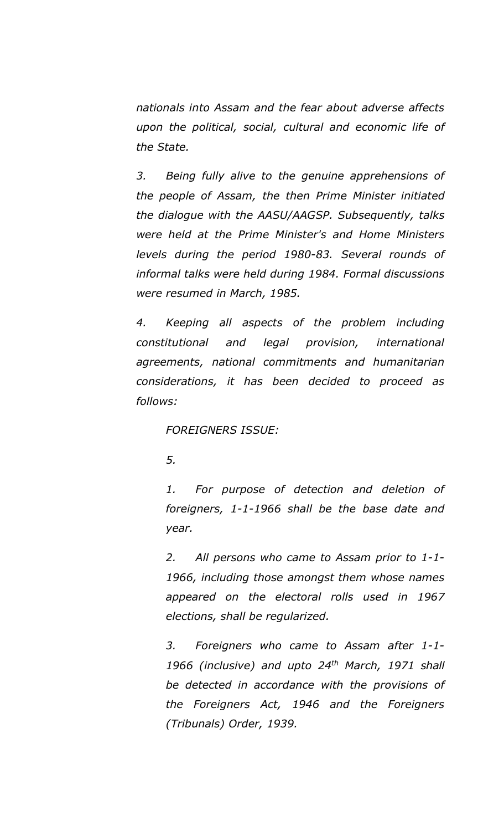*nationals into Assam and the fear about adverse affects upon the political, social, cultural and economic life of the State.*

*3. Being fully alive to the genuine apprehensions of the people of Assam, the then Prime Minister initiated the dialogue with the AASU/AAGSP. Subsequently, talks were held at the Prime Minister's and Home Ministers levels during the period 1980-83. Several rounds of informal talks were held during 1984. Formal discussions were resumed in March, 1985.*

*4. Keeping all aspects of the problem including constitutional and legal provision, international agreements, national commitments and humanitarian considerations, it has been decided to proceed as follows:*

*FOREIGNERS ISSUE:*

*5.*

*1. For purpose of detection and deletion of foreigners, 1-1-1966 shall be the base date and year.*

*2. All persons who came to Assam prior to 1-1- 1966, including those amongst them whose names appeared on the electoral rolls used in 1967 elections, shall be regularized.*

*3. Foreigners who came to Assam after 1-1- 1966 (inclusive) and upto 24th March, 1971 shall be detected in accordance with the provisions of the Foreigners Act, 1946 and the Foreigners (Tribunals) Order, 1939.*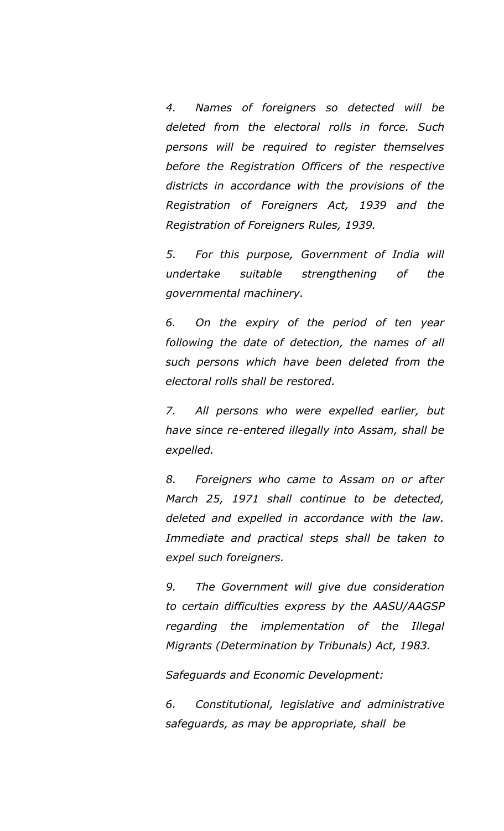*4. Names of foreigners so detected will be deleted from the electoral rolls in force. Such persons will be required to register themselves before the Registration Officers of the respective districts in accordance with the provisions of the Registration of Foreigners Act, 1939 and the Registration of Foreigners Rules, 1939.*

*5. For this purpose, Government of India will undertake suitable strengthening of the governmental machinery.*

*6. On the expiry of the period of ten year following the date of detection, the names of all such persons which have been deleted from the electoral rolls shall be restored.*

*7. All persons who were expelled earlier, but have since re-entered illegally into Assam, shall be expelled.*

*8. Foreigners who came to Assam on or after March 25, 1971 shall continue to be detected, deleted and expelled in accordance with the law. Immediate and practical steps shall be taken to expel such foreigners.*

*9. The Government will give due consideration to certain difficulties express by the AASU/AAGSP regarding the implementation of the Illegal Migrants (Determination by Tribunals) Act, 1983.*

*Safeguards and Economic Development:*

*6. Constitutional, legislative and administrative safeguards, as may be appropriate, shall be*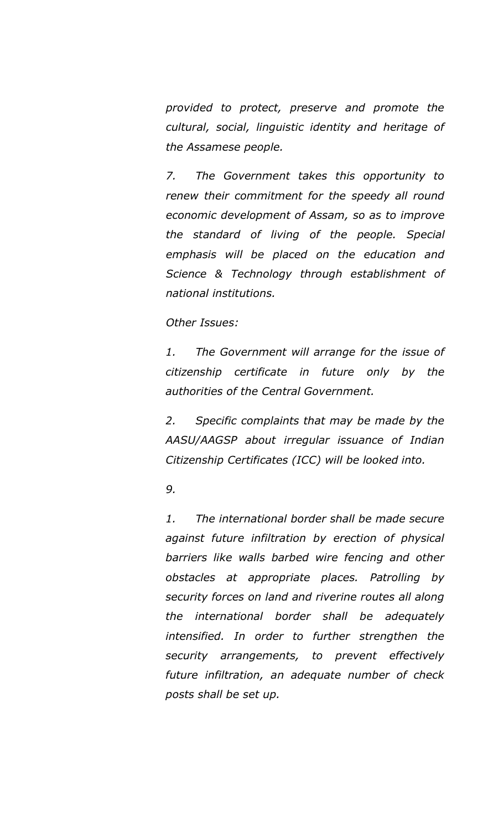*provided to protect, preserve and promote the cultural, social, linguistic identity and heritage of the Assamese people.*

*7. The Government takes this opportunity to renew their commitment for the speedy all round economic development of Assam, so as to improve the standard of living of the people. Special emphasis will be placed on the education and Science & Technology through establishment of national institutions.*

## *Other Issues:*

*1. The Government will arrange for the issue of citizenship certificate in future only by the authorities of the Central Government.*

*2. Specific complaints that may be made by the AASU/AAGSP about irregular issuance of Indian Citizenship Certificates (ICC) will be looked into.*

*9.*

*1. The international border shall be made secure against future infiltration by erection of physical barriers like walls barbed wire fencing and other obstacles at appropriate places. Patrolling by security forces on land and riverine routes all along the international border shall be adequately intensified. In order to further strengthen the security arrangements, to prevent effectively future infiltration, an adequate number of check posts shall be set up.*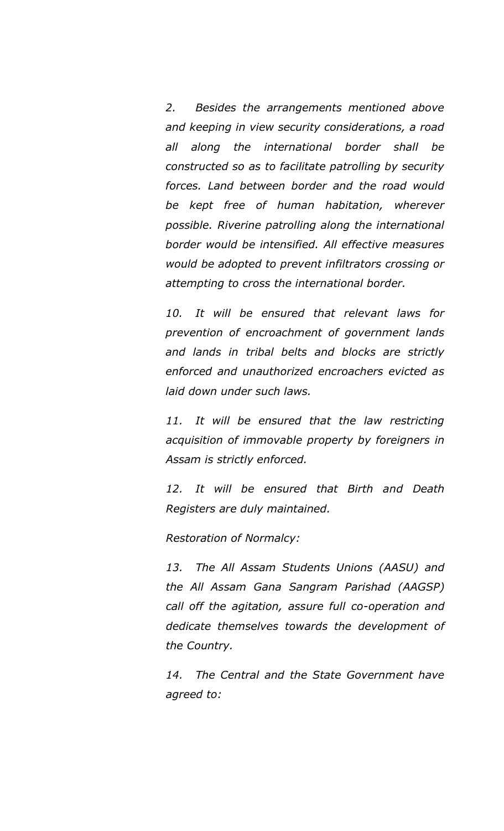*2. Besides the arrangements mentioned above and keeping in view security considerations, a road all along the international border shall be constructed so as to facilitate patrolling by security forces. Land between border and the road would be kept free of human habitation, wherever possible. Riverine patrolling along the international border would be intensified. All effective measures would be adopted to prevent infiltrators crossing or attempting to cross the international border.*

*10. It will be ensured that relevant laws for prevention of encroachment of government lands and lands in tribal belts and blocks are strictly enforced and unauthorized encroachers evicted as laid down under such laws.*

*11. It will be ensured that the law restricting acquisition of immovable property by foreigners in Assam is strictly enforced.*

*12. It will be ensured that Birth and Death Registers are duly maintained.*

*Restoration of Normalcy:*

*13. The All Assam Students Unions (AASU) and the All Assam Gana Sangram Parishad (AAGSP) call off the agitation, assure full co-operation and dedicate themselves towards the development of the Country.*

*14. The Central and the State Government have agreed to:*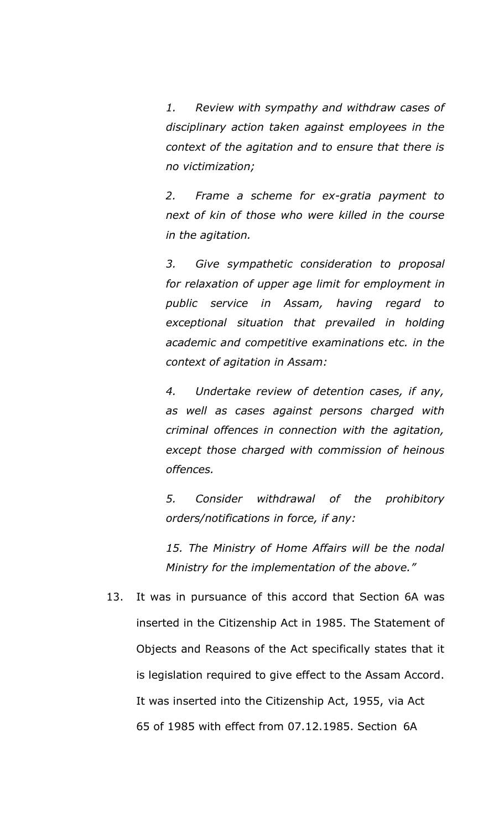*1. Review with sympathy and withdraw cases of disciplinary action taken against employees in the context of the agitation and to ensure that there is no victimization;*

*2. Frame a scheme for ex-gratia payment to next of kin of those who were killed in the course in the agitation.*

*3. Give sympathetic consideration to proposal for relaxation of upper age limit for employment in public service in Assam, having regard to exceptional situation that prevailed in holding academic and competitive examinations etc. in the context of agitation in Assam:*

*4. Undertake review of detention cases, if any, as well as cases against persons charged with criminal offences in connection with the agitation, except those charged with commission of heinous offences.*

*5. Consider withdrawal of the prohibitory orders/notifications in force, if any:*

*15. The Ministry of Home Affairs will be the nodal Ministry for the implementation of the above."*

13. It was in pursuance of this accord that Section 6A was inserted in the Citizenship Act in 1985. The Statement of Objects and Reasons of the Act specifically states that it is legislation required to give effect to the Assam Accord. It was inserted into the Citizenship Act, 1955, via Act 65 of 1985 with effect from 07.12.1985. Section 6A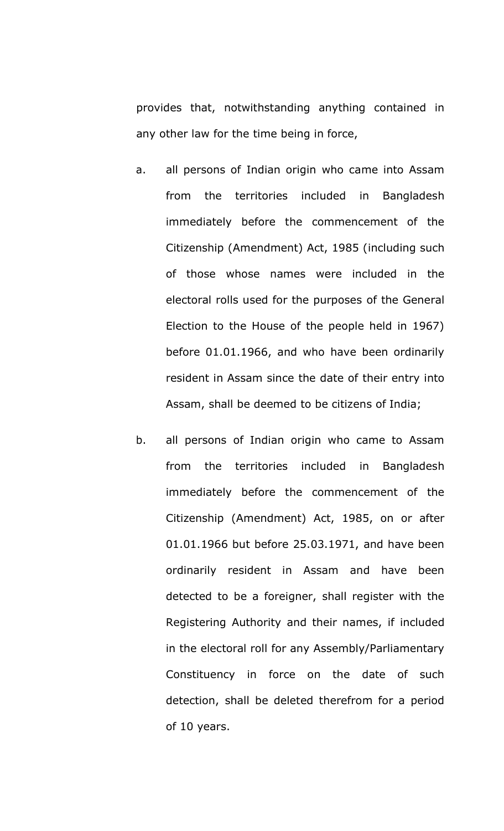provides that, notwithstanding anything contained in any other law for the time being in force,

- a. all persons of Indian origin who came into Assam from the territories included in Bangladesh immediately before the commencement of the Citizenship (Amendment) Act, 1985 (including such of those whose names were included in the electoral rolls used for the purposes of the General Election to the House of the people held in 1967) before 01.01.1966, and who have been ordinarily resident in Assam since the date of their entry into Assam, shall be deemed to be citizens of India;
- b. all persons of Indian origin who came to Assam from the territories included in Bangladesh immediately before the commencement of the Citizenship (Amendment) Act, 1985, on or after 01.01.1966 but before 25.03.1971, and have been ordinarily resident in Assam and have been detected to be a foreigner, shall register with the Registering Authority and their names, if included in the electoral roll for any Assembly/Parliamentary Constituency in force on the date of such detection, shall be deleted therefrom for a period of 10 years.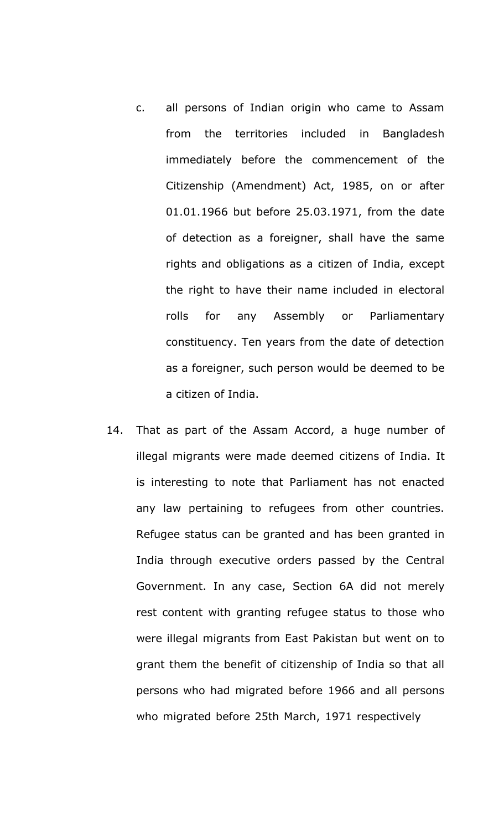- c. all persons of Indian origin who came to Assam from the territories included in Bangladesh immediately before the commencement of the Citizenship (Amendment) Act, 1985, on or after 01.01.1966 but before 25.03.1971, from the date of detection as a foreigner, shall have the same rights and obligations as a citizen of India, except the right to have their name included in electoral rolls for any Assembly or Parliamentary constituency. Ten years from the date of detection as a foreigner, such person would be deemed to be a citizen of India.
- 14. That as part of the Assam Accord, a huge number of illegal migrants were made deemed citizens of India. It is interesting to note that Parliament has not enacted any law pertaining to refugees from other countries. Refugee status can be granted and has been granted in India through executive orders passed by the Central Government. In any case, Section 6A did not merely rest content with granting refugee status to those who were illegal migrants from East Pakistan but went on to grant them the benefit of citizenship of India so that all persons who had migrated before 1966 and all persons who migrated before 25th March, 1971 respectively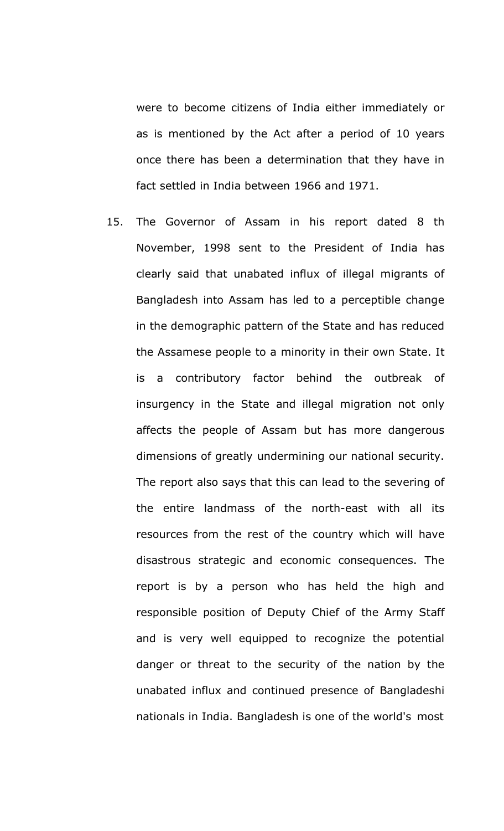were to become citizens of India either immediately or as is mentioned by the Act after a period of 10 years once there has been a determination that they have in fact settled in India between 1966 and 1971.

15. The Governor of Assam in his report dated 8 th November, 1998 sent to the President of India has clearly said that unabated influx of illegal migrants of Bangladesh into Assam has led to a perceptible change in the demographic pattern of the State and has reduced the Assamese people to a minority in their own State. It is a contributory factor behind the outbreak of insurgency in the State and illegal migration not only affects the people of Assam but has more dangerous dimensions of greatly undermining our national security. The report also says that this can lead to the severing of the entire landmass of the north-east with all its resources from the rest of the country which will have disastrous strategic and economic consequences. The report is by a person who has held the high and responsible position of Deputy Chief of the Army Staff and is very well equipped to recognize the potential danger or threat to the security of the nation by the unabated influx and continued presence of Bangladeshi nationals in India. Bangladesh is one of the world's most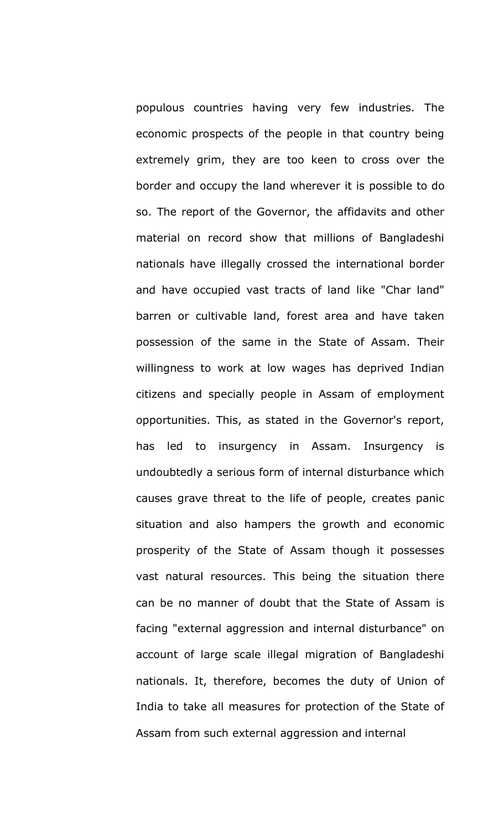populous countries having very few industries. The economic prospects of the people in that country being extremely grim, they are too keen to cross over the border and occupy the land wherever it is possible to do so. The report of the Governor, the affidavits and other material on record show that millions of Bangladeshi nationals have illegally crossed the international border and have occupied vast tracts of land like "Char land" barren or cultivable land, forest area and have taken possession of the same in the State of Assam. Their willingness to work at low wages has deprived Indian citizens and specially people in Assam of employment opportunities. This, as stated in the Governor's report, has led to insurgency in Assam. Insurgency is undoubtedly a serious form of internal disturbance which causes grave threat to the life of people, creates panic situation and also hampers the growth and economic prosperity of the State of Assam though it possesses vast natural resources. This being the situation there can be no manner of doubt that the State of Assam is facing "external aggression and internal disturbance" on account of large scale illegal migration of Bangladeshi nationals. It, therefore, becomes the duty of Union of India to take all measures for protection of the State of Assam from such external aggression and internal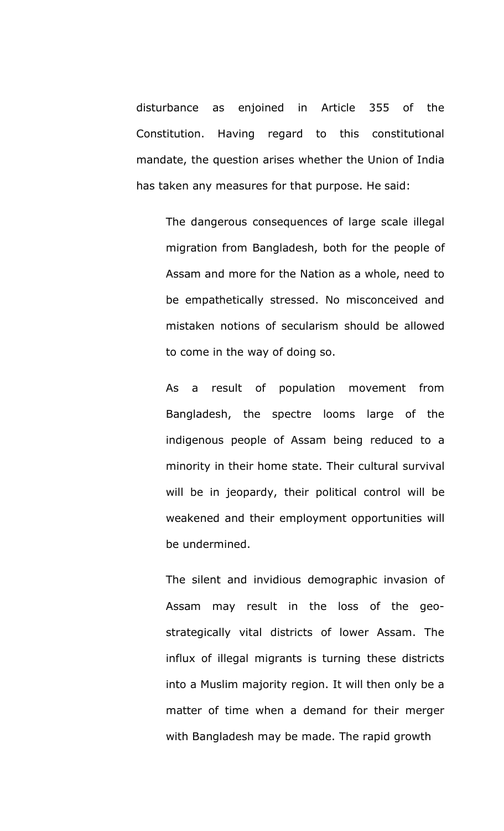disturbance as enjoined in Article 355 of the Constitution. Having regard to this constitutional mandate, the question arises whether the Union of India has taken any measures for that purpose. He said:

The dangerous consequences of large scale illegal migration from Bangladesh, both for the people of Assam and more for the Nation as a whole, need to be empathetically stressed. No misconceived and mistaken notions of secularism should be allowed to come in the way of doing so.

As a result of population movement from Bangladesh, the spectre looms large of the indigenous people of Assam being reduced to a minority in their home state. Their cultural survival will be in jeopardy, their political control will be weakened and their employment opportunities will be undermined.

The silent and invidious demographic invasion of Assam may result in the loss of the geostrategically vital districts of lower Assam. The influx of illegal migrants is turning these districts into a Muslim majority region. It will then only be a matter of time when a demand for their merger with Bangladesh may be made. The rapid growth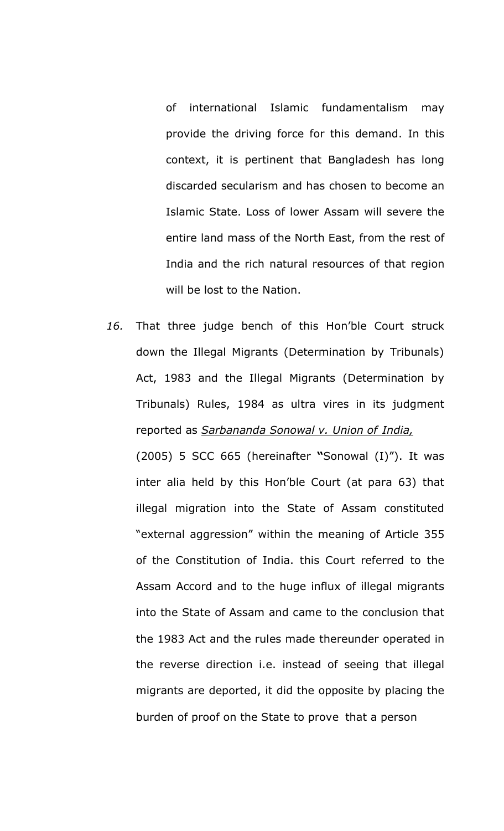of international Islamic fundamentalism may provide the driving force for this demand. In this context, it is pertinent that Bangladesh has long discarded secularism and has chosen to become an Islamic State. Loss of lower Assam will severe the entire land mass of the North East, from the rest of India and the rich natural resources of that region will be lost to the Nation.

*16.* That three judge bench of this Hon'ble Court struck down the Illegal Migrants (Determination by Tribunals) Act, 1983 and the Illegal Migrants (Determination by Tribunals) Rules, 1984 as ultra vires in its judgment reported as *Sarbananda Sonowal v. Union of India,*

(2005) 5 SCC 665 (hereinafter **"**Sonowal (I)"). It was inter alia held by this Hon'ble Court (at para 63) that illegal migration into the State of Assam constituted "external aggression" within the meaning of Article 355 of the Constitution of India. this Court referred to the Assam Accord and to the huge influx of illegal migrants into the State of Assam and came to the conclusion that the 1983 Act and the rules made thereunder operated in the reverse direction i.e. instead of seeing that illegal migrants are deported, it did the opposite by placing the burden of proof on the State to prove that a person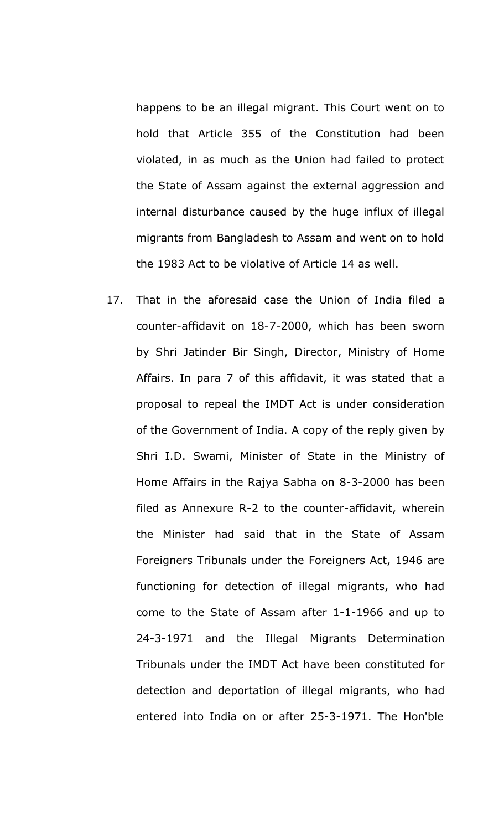happens to be an illegal migrant. This Court went on to hold that Article 355 of the Constitution had been violated, in as much as the Union had failed to protect the State of Assam against the external aggression and internal disturbance caused by the huge influx of illegal migrants from Bangladesh to Assam and went on to hold the 1983 Act to be violative of Article 14 as well.

17. That in the aforesaid case the Union of India filed a counter-affidavit on 18-7-2000, which has been sworn by Shri Jatinder Bir Singh, Director, Ministry of Home Affairs. In para 7 of this affidavit, it was stated that a proposal to repeal the IMDT Act is under consideration of the Government of India. A copy of the reply given by Shri I.D. Swami, Minister of State in the Ministry of Home Affairs in the Rajya Sabha on 8-3-2000 has been filed as Annexure R-2 to the counter-affidavit, wherein the Minister had said that in the State of Assam Foreigners Tribunals under the Foreigners Act, 1946 are functioning for detection of illegal migrants, who had come to the State of Assam after 1-1-1966 and up to 24-3-1971 and the Illegal Migrants Determination Tribunals under the IMDT Act have been constituted for detection and deportation of illegal migrants, who had entered into India on or after 25-3-1971. The Hon'ble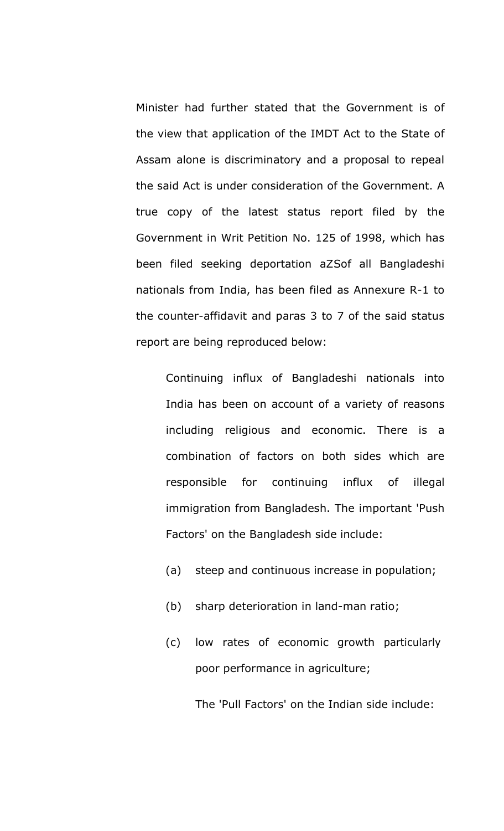Minister had further stated that the Government is of the view that application of the IMDT Act to the State of Assam alone is discriminatory and a proposal to repeal the said Act is under consideration of the Government. A true copy of the latest status report filed by the Government in Writ Petition No. 125 of 1998, which has been filed seeking deportation aZSof all Bangladeshi nationals from India, has been filed as Annexure R-1 to the counter-affidavit and paras 3 to 7 of the said status report are being reproduced below:

Continuing influx of Bangladeshi nationals into India has been on account of a variety of reasons including religious and economic. There is a combination of factors on both sides which are responsible for continuing influx of illegal immigration from Bangladesh. The important 'Push Factors' on the Bangladesh side include:

- (a) steep and continuous increase in population;
- (b) sharp deterioration in land-man ratio;
- (c) low rates of economic growth particularly poor performance in agriculture;

The 'Pull Factors' on the Indian side include: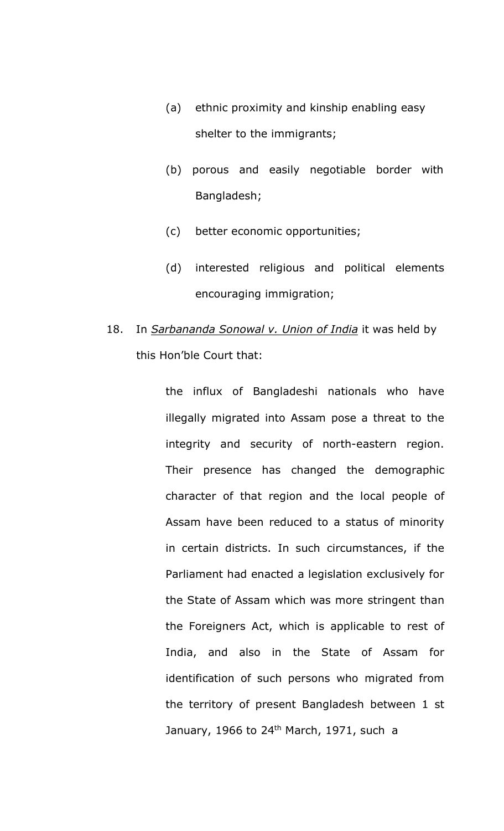- (a) ethnic proximity and kinship enabling easy shelter to the immigrants;
- (b) porous and easily negotiable border with Bangladesh;
- (c) better economic opportunities;
- (d) interested religious and political elements encouraging immigration;
- 18. In *Sarbananda Sonowal v. Union of India* it was held by this Hon'ble Court that:

the influx of Bangladeshi nationals who have illegally migrated into Assam pose a threat to the integrity and security of north-eastern region. Their presence has changed the demographic character of that region and the local people of Assam have been reduced to a status of minority in certain districts. In such circumstances, if the Parliament had enacted a legislation exclusively for the State of Assam which was more stringent than the Foreigners Act, which is applicable to rest of India, and also in the State of Assam for identification of such persons who migrated from the territory of present Bangladesh between 1 st January, 1966 to 24<sup>th</sup> March, 1971, such a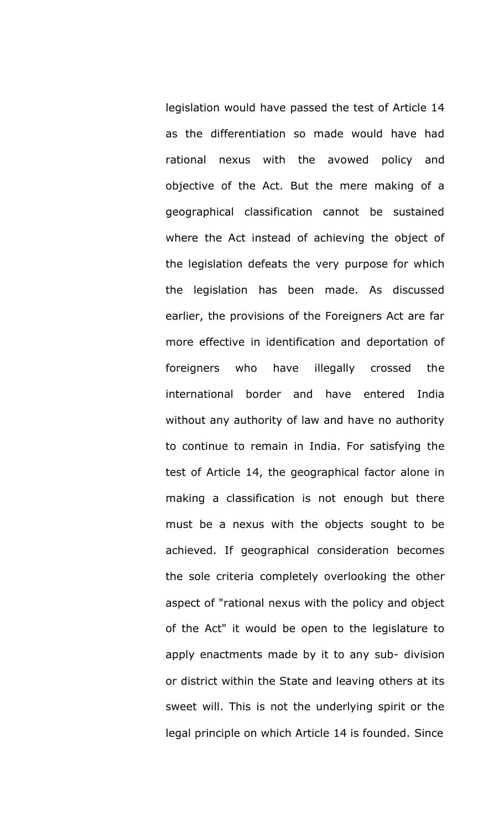legislation would have passed the test of Article 14 as the differentiation so made would have had rational nexus with the avowed policy and objective of the Act. But the mere making of a geographical classification cannot be sustained where the Act instead of achieving the object of the legislation defeats the very purpose for which the legislation has been made. As discussed earlier, the provisions of the Foreigners Act are far more effective in identification and deportation of foreigners who have illegally crossed the international border and have entered India without any authority of law and have no authority to continue to remain in India. For satisfying the test of Article 14, the geographical factor alone in making a classification is not enough but there must be a nexus with the objects sought to be achieved. If geographical consideration becomes the sole criteria completely overlooking the other aspect of "rational nexus with the policy and object of the Act" it would be open to the legislature to apply enactments made by it to any sub- division or district within the State and leaving others at its sweet will. This is not the underlying spirit or the legal principle on which Article 14 is founded. Since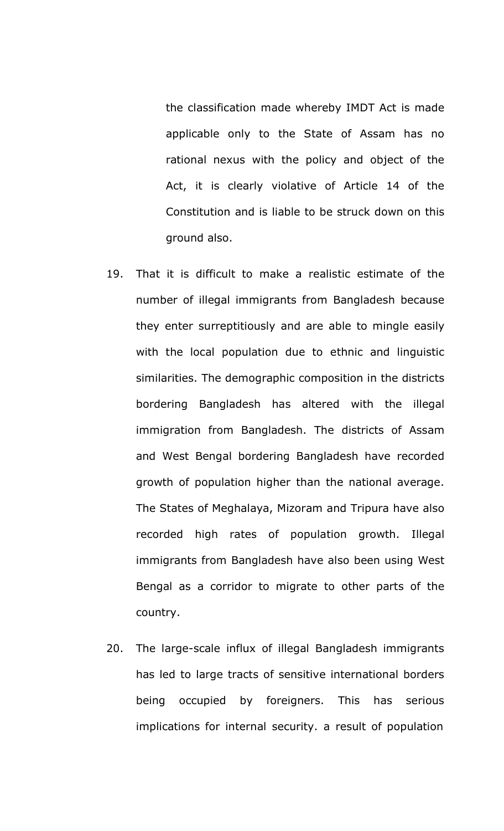the classification made whereby IMDT Act is made applicable only to the State of Assam has no rational nexus with the policy and object of the Act, it is clearly violative of Article 14 of the Constitution and is liable to be struck down on this ground also.

- 19. That it is difficult to make a realistic estimate of the number of illegal immigrants from Bangladesh because they enter surreptitiously and are able to mingle easily with the local population due to ethnic and linguistic similarities. The demographic composition in the districts bordering Bangladesh has altered with the illegal immigration from Bangladesh. The districts of Assam and West Bengal bordering Bangladesh have recorded growth of population higher than the national average. The States of Meghalaya, Mizoram and Tripura have also recorded high rates of population growth. Illegal immigrants from Bangladesh have also been using West Bengal as a corridor to migrate to other parts of the country.
- 20. The large-scale influx of illegal Bangladesh immigrants has led to large tracts of sensitive international borders being occupied by foreigners. This has serious implications for internal security. a result of population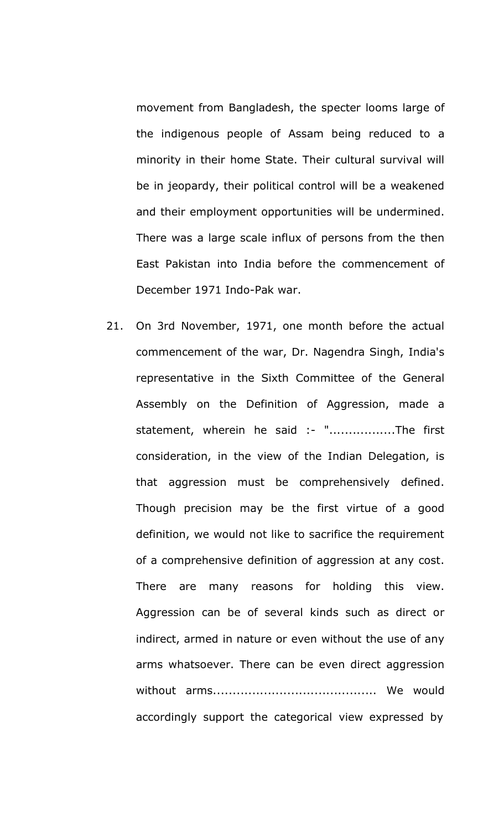movement from Bangladesh, the specter looms large of the indigenous people of Assam being reduced to a minority in their home State. Their cultural survival will be in jeopardy, their political control will be a weakened and their employment opportunities will be undermined. There was a large scale influx of persons from the then East Pakistan into India before the commencement of December 1971 Indo-Pak war.

21. On 3rd November, 1971, one month before the actual commencement of the war, Dr. Nagendra Singh, India's representative in the Sixth Committee of the General Assembly on the Definition of Aggression, made a statement, wherein he said :- "..................The first consideration, in the view of the Indian Delegation, is that aggression must be comprehensively defined. Though precision may be the first virtue of a good definition, we would not like to sacrifice the requirement of a comprehensive definition of aggression at any cost. There are many reasons for holding this view. Aggression can be of several kinds such as direct or indirect, armed in nature or even without the use of any arms whatsoever. There can be even direct aggression without arms.......................................... We would accordingly support the categorical view expressed by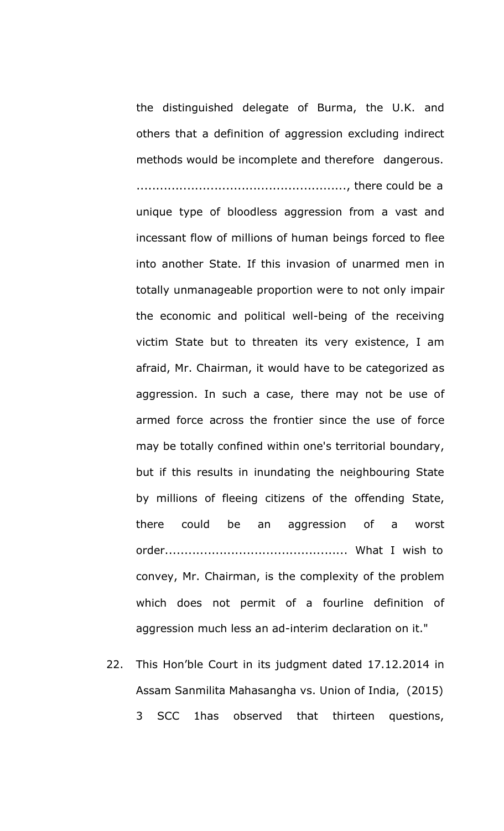the distinguished delegate of Burma, the U.K. and others that a definition of aggression excluding indirect methods would be incomplete and therefore dangerous. ......................................................, there could be a

unique type of bloodless aggression from a vast and incessant flow of millions of human beings forced to flee into another State. If this invasion of unarmed men in totally unmanageable proportion were to not only impair the economic and political well-being of the receiving victim State but to threaten its very existence, I am afraid, Mr. Chairman, it would have to be categorized as aggression. In such a case, there may not be use of armed force across the frontier since the use of force may be totally confined within one's territorial boundary, but if this results in inundating the neighbouring State by millions of fleeing citizens of the offending State, there could be an aggression of a worst order............................................... What I wish to convey, Mr. Chairman, is the complexity of the problem which does not permit of a fourline definition of aggression much less an ad-interim declaration on it."

22. This Hon'ble Court in its judgment dated 17.12.2014 in Assam Sanmilita Mahasangha vs. Union of India, (2015) 3 SCC 1has observed that thirteen questions,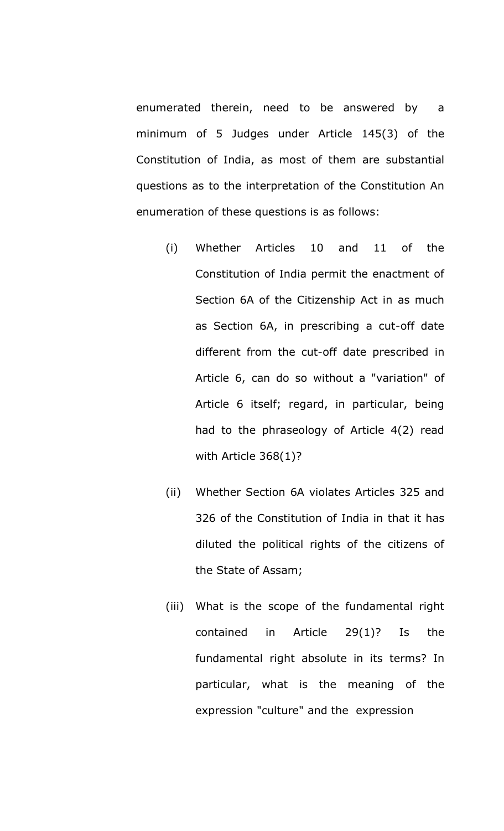enumerated therein, need to be answered by a minimum of 5 Judges under Article 145(3) of the Constitution of India, as most of them are substantial questions as to the interpretation of the Constitution An enumeration of these questions is as follows:

- (i) Whether Articles 10 and 11 of the Constitution of India permit the enactment of Section 6A of the Citizenship Act in as much as Section 6A, in prescribing a cut-off date different from the cut-off date prescribed in Article 6, can do so without a "variation" of Article 6 itself; regard, in particular, being had to the phraseology of Article 4(2) read with Article 368(1)?
- (ii) Whether Section 6A violates Articles 325 and 326 of the Constitution of India in that it has diluted the political rights of the citizens of the State of Assam;
- (iii) What is the scope of the fundamental right contained in Article 29(1)? Is the fundamental right absolute in its terms? In particular, what is the meaning of the expression "culture" and the expression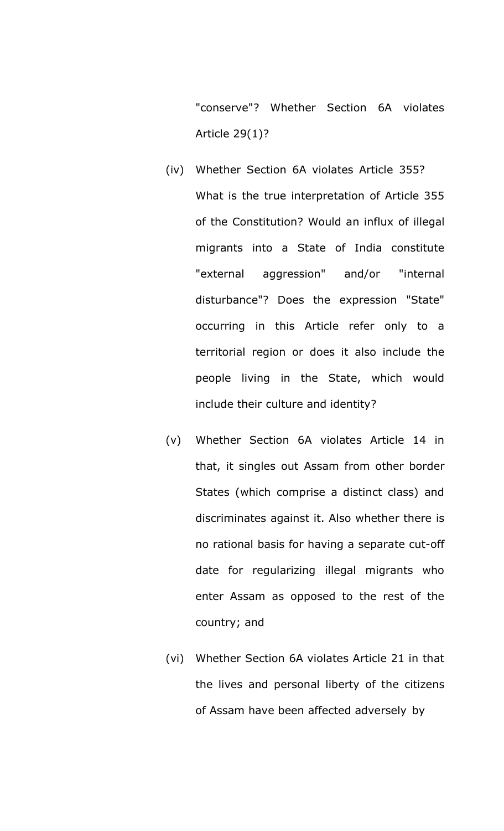"conserve"? Whether Section 6A violates Article 29(1)?

- (iv) Whether Section 6A violates Article 355? What is the true interpretation of Article 355 of the Constitution? Would an influx of illegal migrants into a State of India constitute "external aggression" and/or "internal disturbance"? Does the expression "State" occurring in this Article refer only to a territorial region or does it also include the people living in the State, which would include their culture and identity?
- (v) Whether Section 6A violates Article 14 in that, it singles out Assam from other border States (which comprise a distinct class) and discriminates against it. Also whether there is no rational basis for having a separate cut-off date for regularizing illegal migrants who enter Assam as opposed to the rest of the country; and
- (vi) Whether Section 6A violates Article 21 in that the lives and personal liberty of the citizens of Assam have been affected adversely by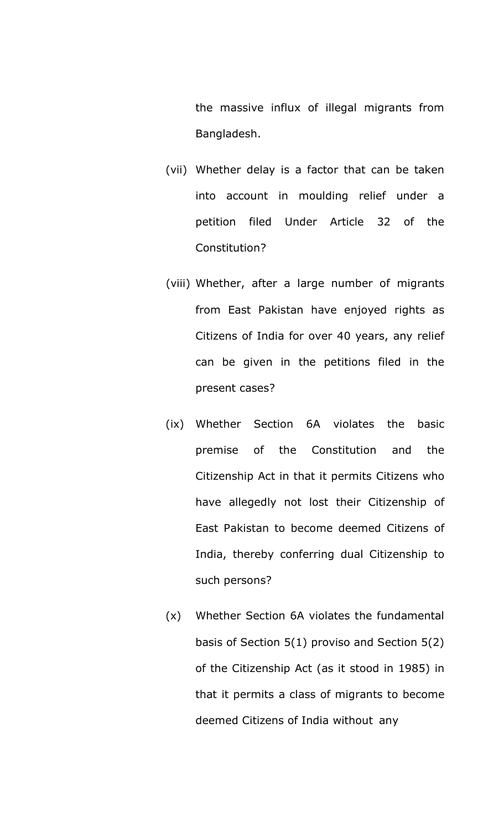the massive influx of illegal migrants from Bangladesh.

- (vii) Whether delay is a factor that can be taken into account in moulding relief under a petition filed Under Article 32 of the Constitution?
- (viii) Whether, after a large number of migrants from East Pakistan have enjoyed rights as Citizens of India for over 40 years, any relief can be given in the petitions filed in the present cases?
- (ix) Whether Section 6A violates the basic premise of the Constitution and the Citizenship Act in that it permits Citizens who have allegedly not lost their Citizenship of East Pakistan to become deemed Citizens of India, thereby conferring dual Citizenship to such persons?
- (x) Whether Section 6A violates the fundamental basis of Section 5(1) proviso and Section 5(2) of the Citizenship Act (as it stood in 1985) in that it permits a class of migrants to become deemed Citizens of India without any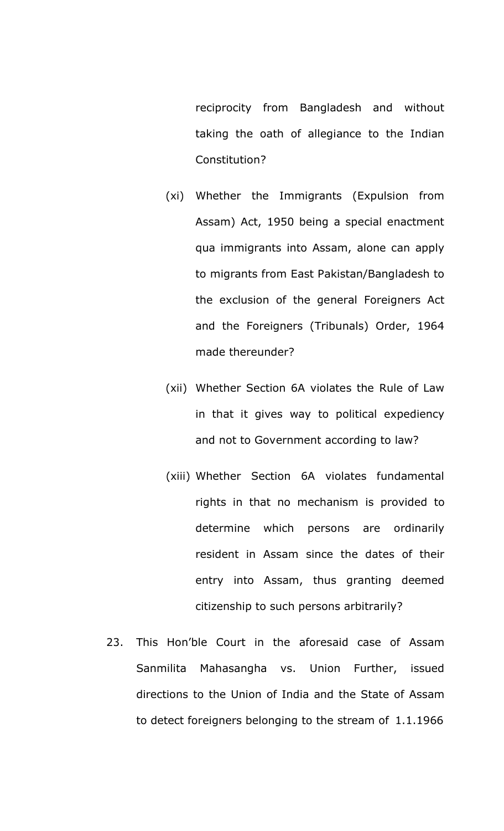reciprocity from Bangladesh and without taking the oath of allegiance to the Indian Constitution?

- (xi) Whether the Immigrants (Expulsion from Assam) Act, 1950 being a special enactment qua immigrants into Assam, alone can apply to migrants from East Pakistan/Bangladesh to the exclusion of the general Foreigners Act and the Foreigners (Tribunals) Order, 1964 made thereunder?
- (xii) Whether Section 6A violates the Rule of Law in that it gives way to political expediency and not to Government according to law?
- (xiii) Whether Section 6A violates fundamental rights in that no mechanism is provided to determine which persons are ordinarily resident in Assam since the dates of their entry into Assam, thus granting deemed citizenship to such persons arbitrarily?
- 23. This Hon'ble Court in the aforesaid case of Assam Sanmilita Mahasangha vs. Union Further, issued directions to the Union of India and the State of Assam to detect foreigners belonging to the stream of 1.1.1966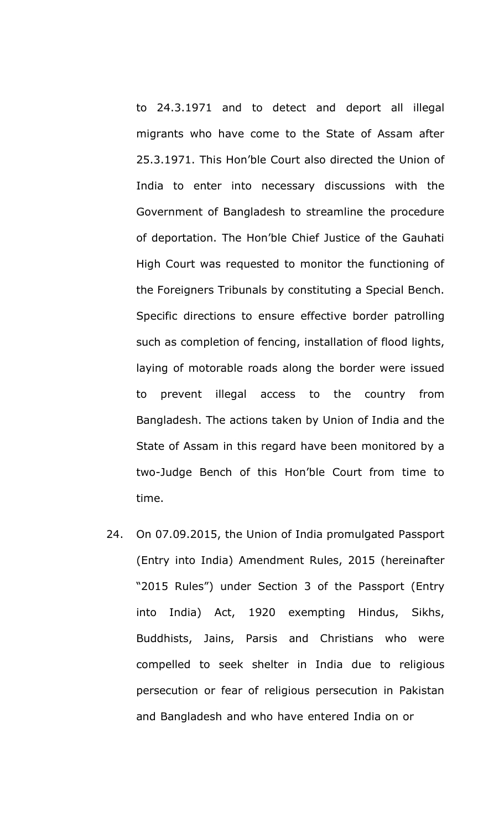to 24.3.1971 and to detect and deport all illegal migrants who have come to the State of Assam after 25.3.1971. This Hon'ble Court also directed the Union of India to enter into necessary discussions with the Government of Bangladesh to streamline the procedure of deportation. The Hon'ble Chief Justice of the Gauhati High Court was requested to monitor the functioning of the Foreigners Tribunals by constituting a Special Bench. Specific directions to ensure effective border patrolling such as completion of fencing, installation of flood lights, laying of motorable roads along the border were issued to prevent illegal access to the country from Bangladesh. The actions taken by Union of India and the State of Assam in this regard have been monitored by a two-Judge Bench of this Hon'ble Court from time to time.

24. On 07.09.2015, the Union of India promulgated Passport (Entry into India) Amendment Rules, 2015 (hereinafter "2015 Rules") under Section 3 of the Passport (Entry into India) Act, 1920 exempting Hindus, Sikhs, Buddhists, Jains, Parsis and Christians who were compelled to seek shelter in India due to religious persecution or fear of religious persecution in Pakistan and Bangladesh and who have entered India on or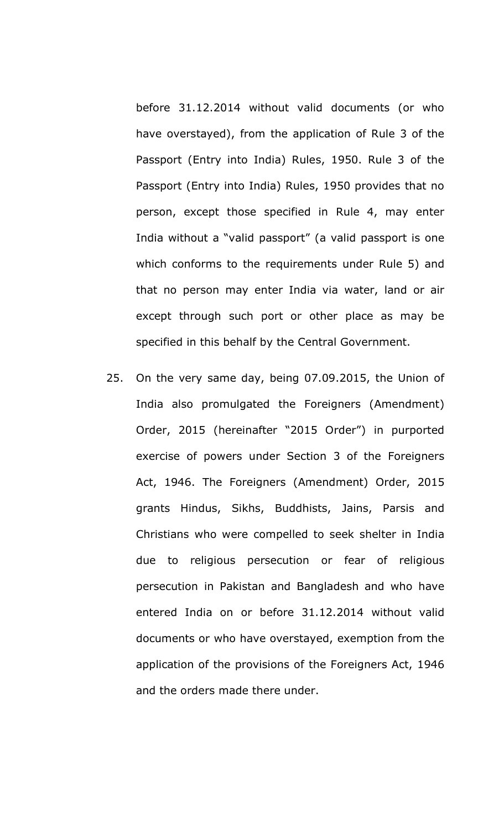before 31.12.2014 without valid documents (or who have overstayed), from the application of Rule 3 of the Passport (Entry into India) Rules, 1950. Rule 3 of the Passport (Entry into India) Rules, 1950 provides that no person, except those specified in Rule 4, may enter India without a "valid passport" (a valid passport is one which conforms to the requirements under Rule 5) and that no person may enter India via water, land or air except through such port or other place as may be specified in this behalf by the Central Government.

25. On the very same day, being 07.09.2015, the Union of India also promulgated the Foreigners (Amendment) Order, 2015 (hereinafter "2015 Order") in purported exercise of powers under Section 3 of the Foreigners Act, 1946. The Foreigners (Amendment) Order, 2015 grants Hindus, Sikhs, Buddhists, Jains, Parsis and Christians who were compelled to seek shelter in India due to religious persecution or fear of religious persecution in Pakistan and Bangladesh and who have entered India on or before 31.12.2014 without valid documents or who have overstayed, exemption from the application of the provisions of the Foreigners Act, 1946 and the orders made there under.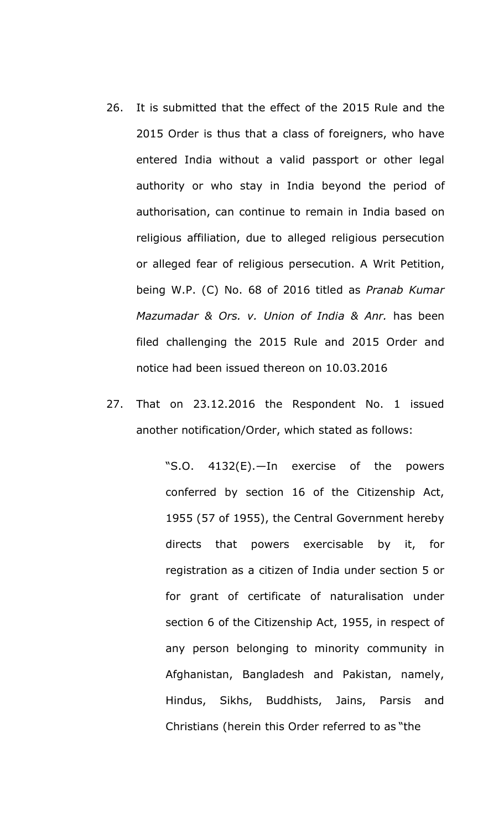- 26. It is submitted that the effect of the 2015 Rule and the 2015 Order is thus that a class of foreigners, who have entered India without a valid passport or other legal authority or who stay in India beyond the period of authorisation, can continue to remain in India based on religious affiliation, due to alleged religious persecution or alleged fear of religious persecution. A Writ Petition, being W.P. (C) No. 68 of 2016 titled as *Pranab Kumar Mazumadar & Ors. v. Union of India & Anr.* has been filed challenging the 2015 Rule and 2015 Order and notice had been issued thereon on 10.03.2016
- 27. That on 23.12.2016 the Respondent No. 1 issued another notification/Order, which stated as follows:

"S.O. 4132(E).—In exercise of the powers conferred by section 16 of the Citizenship Act, 1955 (57 of 1955), the Central Government hereby directs that powers exercisable by it, for registration as a citizen of India under section 5 or for grant of certificate of naturalisation under section 6 of the Citizenship Act, 1955, in respect of any person belonging to minority community in Afghanistan, Bangladesh and Pakistan, namely, Hindus, Sikhs, Buddhists, Jains, Parsis and Christians (herein this Order referred to as "the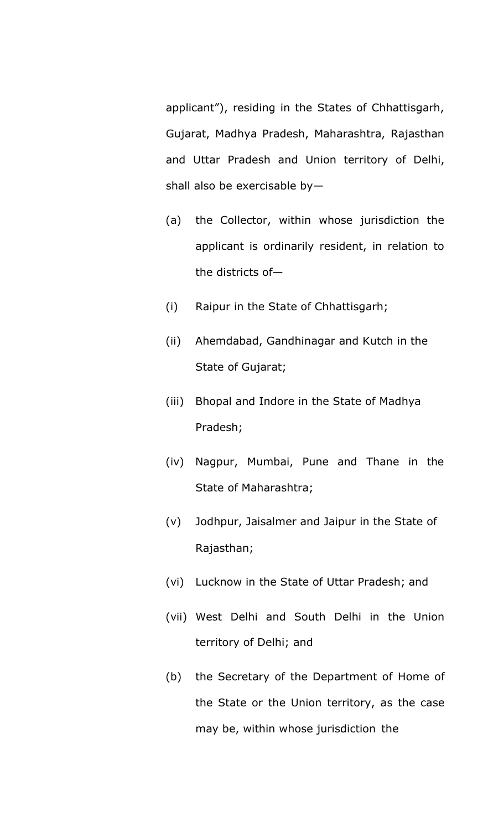applicant"), residing in the States of Chhattisgarh, Gujarat, Madhya Pradesh, Maharashtra, Rajasthan and Uttar Pradesh and Union territory of Delhi, shall also be exercisable by—

- (a) the Collector, within whose jurisdiction the applicant is ordinarily resident, in relation to the districts of—
- (i) Raipur in the State of Chhattisgarh;
- (ii) Ahemdabad, Gandhinagar and Kutch in the State of Gujarat;
- (iii) Bhopal and Indore in the State of Madhya Pradesh;
- (iv) Nagpur, Mumbai, Pune and Thane in the State of Maharashtra;
- (v) Jodhpur, Jaisalmer and Jaipur in the State of Rajasthan;
- (vi) Lucknow in the State of Uttar Pradesh; and
- (vii) West Delhi and South Delhi in the Union territory of Delhi; and
- (b) the Secretary of the Department of Home of the State or the Union territory, as the case may be, within whose jurisdiction the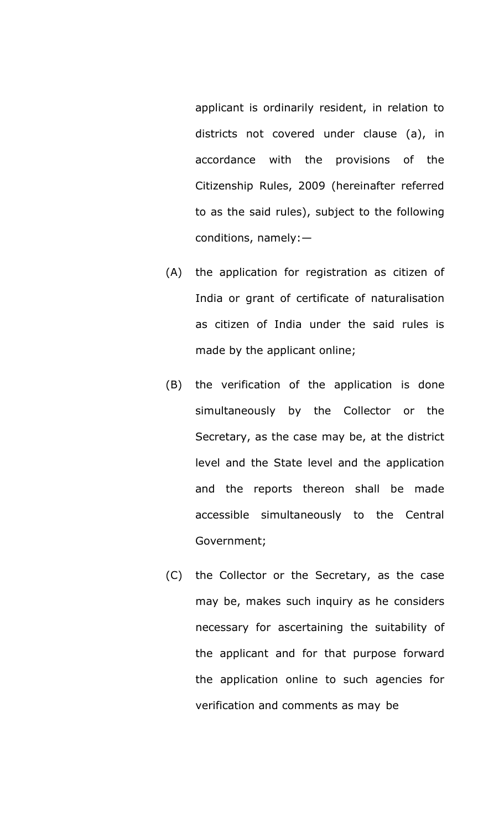applicant is ordinarily resident, in relation to districts not covered under clause (a), in accordance with the provisions of the Citizenship Rules, 2009 (hereinafter referred to as the said rules), subject to the following conditions, namely:—

- (A) the application for registration as citizen of India or grant of certificate of naturalisation as citizen of India under the said rules is made by the applicant online;
- (B) the verification of the application is done simultaneously by the Collector or the Secretary, as the case may be, at the district level and the State level and the application and the reports thereon shall be made accessible simultaneously to the Central Government;
- (C) the Collector or the Secretary, as the case may be, makes such inquiry as he considers necessary for ascertaining the suitability of the applicant and for that purpose forward the application online to such agencies for verification and comments as may be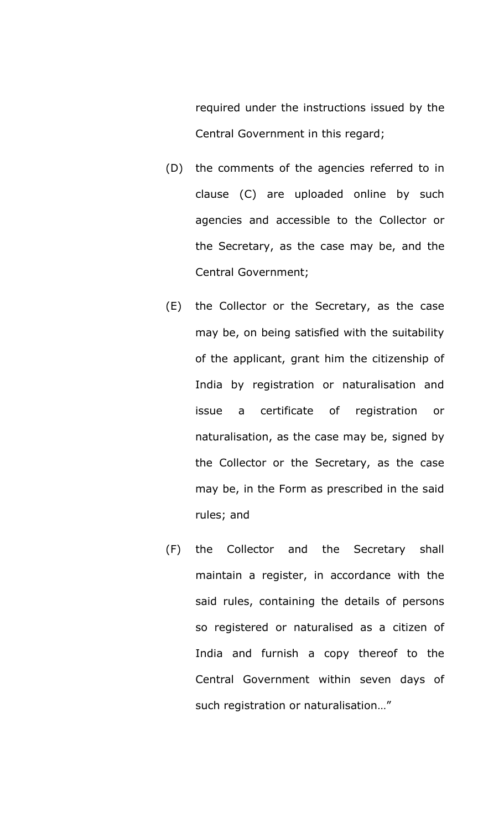required under the instructions issued by the Central Government in this regard;

- (D) the comments of the agencies referred to in clause (C) are uploaded online by such agencies and accessible to the Collector or the Secretary, as the case may be, and the Central Government;
- (E) the Collector or the Secretary, as the case may be, on being satisfied with the suitability of the applicant, grant him the citizenship of India by registration or naturalisation and issue a certificate of registration or naturalisation, as the case may be, signed by the Collector or the Secretary, as the case may be, in the Form as prescribed in the said rules; and
- (F) the Collector and the Secretary shall maintain a register, in accordance with the said rules, containing the details of persons so registered or naturalised as a citizen of India and furnish a copy thereof to the Central Government within seven days of such registration or naturalisation…"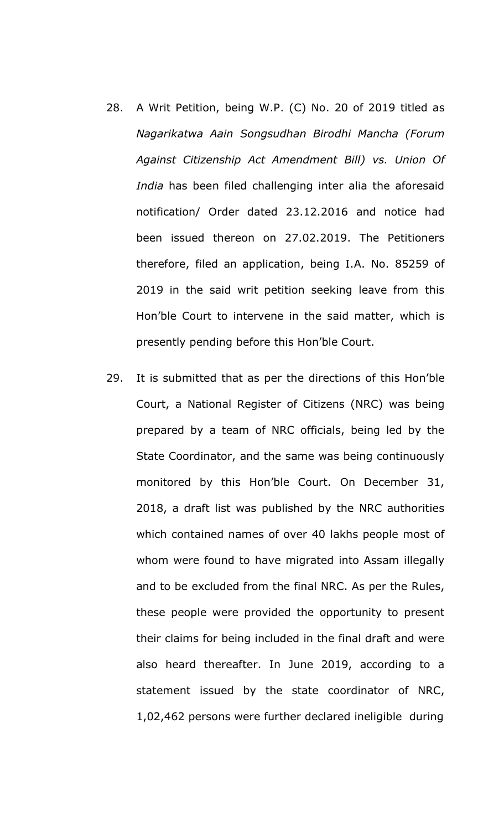- 28. A Writ Petition, being W.P. (C) No. 20 of 2019 titled as *Nagarikatwa Aain Songsudhan Birodhi Mancha (Forum Against Citizenship Act Amendment Bill) vs. Union Of India* has been filed challenging inter alia the aforesaid notification/ Order dated 23.12.2016 and notice had been issued thereon on 27.02.2019. The Petitioners therefore, filed an application, being I.A. No. 85259 of 2019 in the said writ petition seeking leave from this Hon'ble Court to intervene in the said matter, which is presently pending before this Hon'ble Court.
- 29. It is submitted that as per the directions of this Hon'ble Court, a National Register of Citizens (NRC) was being prepared by a team of NRC officials, being led by the State Coordinator, and the same was being continuously monitored by this Hon'ble Court. On December 31, 2018, a draft list was published by the NRC authorities which contained names of over 40 lakhs people most of whom were found to have migrated into Assam illegally and to be excluded from the final NRC. As per the Rules, these people were provided the opportunity to present their claims for being included in the final draft and were also heard thereafter. In June 2019, according to a statement issued by the state coordinator of NRC, 1,02,462 persons were further declared ineligible during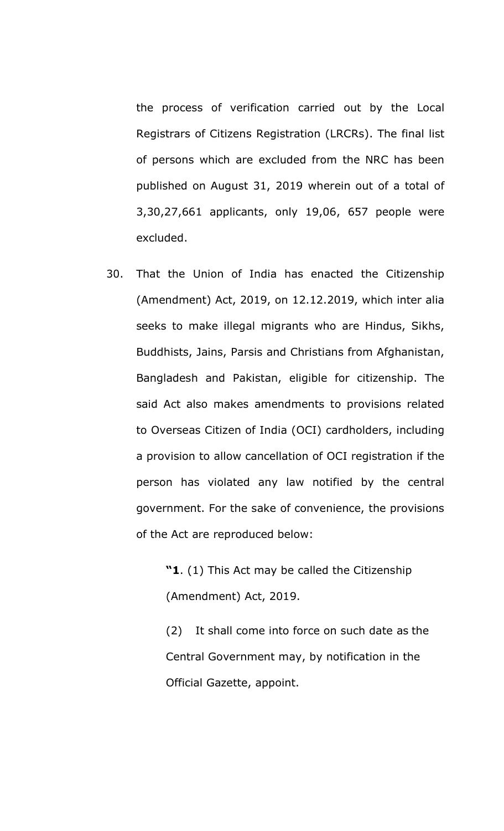the process of verification carried out by the Local Registrars of Citizens Registration (LRCRs). The final list of persons which are excluded from the NRC has been published on August 31, 2019 wherein out of a total of 3,30,27,661 applicants, only 19,06, 657 people were excluded.

30. That the Union of India has enacted the Citizenship (Amendment) Act, 2019, on 12.12.2019, which inter alia seeks to make illegal migrants who are Hindus, Sikhs, Buddhists, Jains, Parsis and Christians from Afghanistan, Bangladesh and Pakistan, eligible for citizenship. The said Act also makes amendments to provisions related to Overseas Citizen of India (OCI) cardholders, including a provision to allow cancellation of OCI registration if the person has violated any law notified by the central government. For the sake of convenience, the provisions of the Act are reproduced below:

> **"1**. (1) This Act may be called the Citizenship (Amendment) Act, 2019.

(2) It shall come into force on such date as the Central Government may, by notification in the Official Gazette, appoint.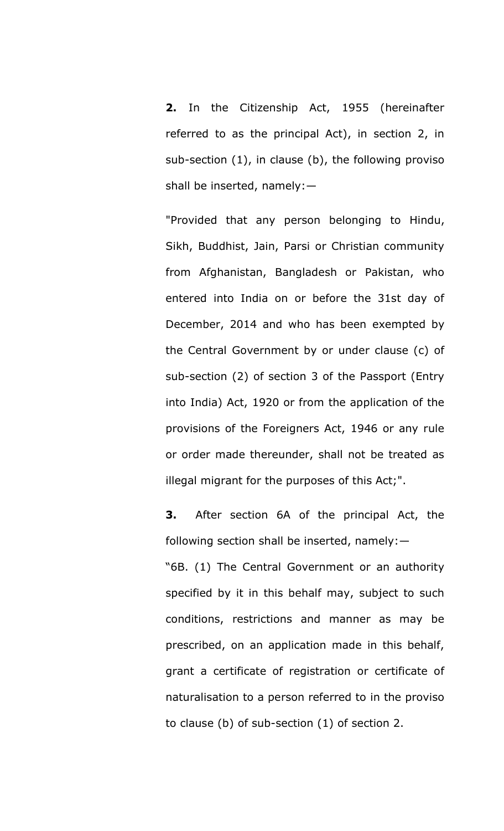**2.** In the Citizenship Act, 1955 (hereinafter referred to as the principal Act), in section 2, in sub-section (1), in clause (b), the following proviso shall be inserted, namely:—

"Provided that any person belonging to Hindu, Sikh, Buddhist, Jain, Parsi or Christian community from Afghanistan, Bangladesh or Pakistan, who entered into India on or before the 31st day of December, 2014 and who has been exempted by the Central Government by or under clause (c) of sub-section (2) of section 3 of the Passport (Entry into India) Act, 1920 or from the application of the provisions of the Foreigners Act, 1946 or any rule or order made thereunder, shall not be treated as illegal migrant for the purposes of this Act;".

**3.** After section 6A of the principal Act, the following section shall be inserted, namely:—

"6B. (1) The Central Government or an authority specified by it in this behalf may, subject to such conditions, restrictions and manner as may be prescribed, on an application made in this behalf, grant a certificate of registration or certificate of naturalisation to a person referred to in the proviso to clause (b) of sub-section (1) of section 2.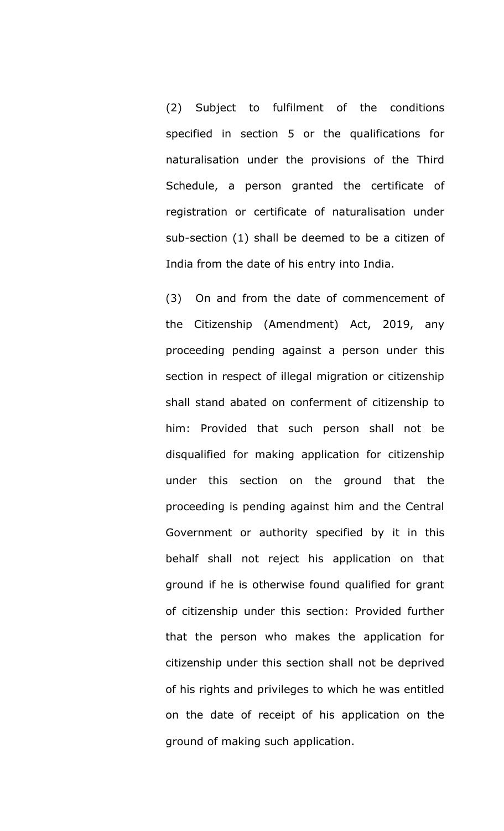(2) Subject to fulfilment of the conditions specified in section 5 or the qualifications for naturalisation under the provisions of the Third Schedule, a person granted the certificate of registration or certificate of naturalisation under sub-section (1) shall be deemed to be a citizen of India from the date of his entry into India.

(3) On and from the date of commencement of the Citizenship (Amendment) Act, 2019, any proceeding pending against a person under this section in respect of illegal migration or citizenship shall stand abated on conferment of citizenship to him: Provided that such person shall not be disqualified for making application for citizenship under this section on the ground that the proceeding is pending against him and the Central Government or authority specified by it in this behalf shall not reject his application on that ground if he is otherwise found qualified for grant of citizenship under this section: Provided further that the person who makes the application for citizenship under this section shall not be deprived of his rights and privileges to which he was entitled on the date of receipt of his application on the ground of making such application.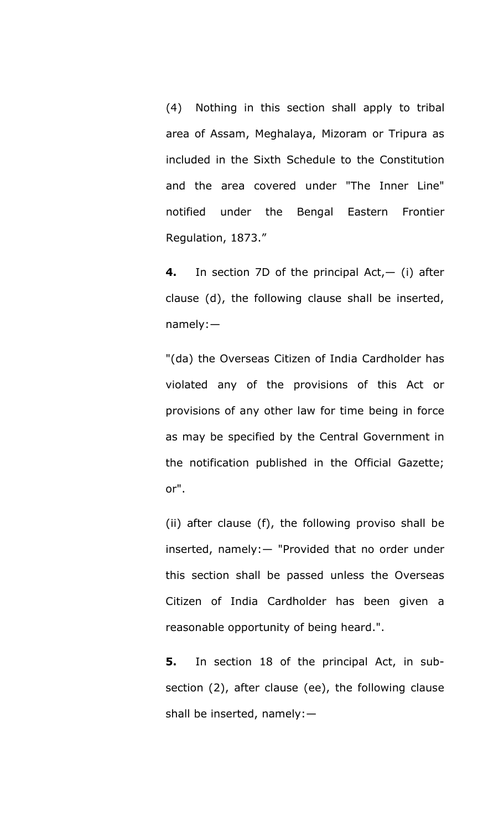(4) Nothing in this section shall apply to tribal area of Assam, Meghalaya, Mizoram or Tripura as included in the Sixth Schedule to the Constitution and the area covered under "The Inner Line" notified under the Bengal Eastern Frontier Regulation, 1873."

**4.** In section 7D of the principal Act,— (i) after clause (d), the following clause shall be inserted, namely:—

"(da) the Overseas Citizen of India Cardholder has violated any of the provisions of this Act or provisions of any other law for time being in force as may be specified by the Central Government in the notification published in the Official Gazette; or".

(ii) after clause (f), the following proviso shall be inserted, namely:— "Provided that no order under this section shall be passed unless the Overseas Citizen of India Cardholder has been given a reasonable opportunity of being heard.".

**5.** In section 18 of the principal Act, in subsection (2), after clause (ee), the following clause shall be inserted, namely:—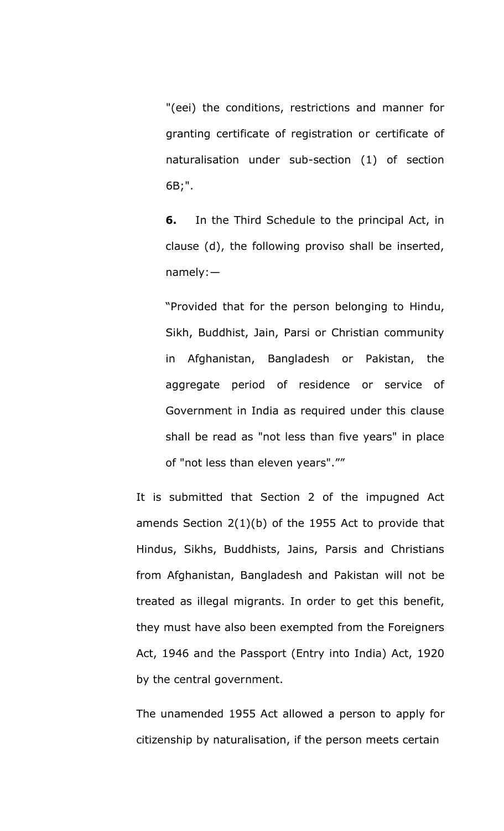"(eei) the conditions, restrictions and manner for granting certificate of registration or certificate of naturalisation under sub-section (1) of section 6B;".

**6.** In the Third Schedule to the principal Act, in clause (d), the following proviso shall be inserted, namely:—

"Provided that for the person belonging to Hindu, Sikh, Buddhist, Jain, Parsi or Christian community in Afghanistan, Bangladesh or Pakistan, the aggregate period of residence or service of Government in India as required under this clause shall be read as "not less than five years" in place of "not less than eleven years".""

It is submitted that Section 2 of the impugned Act amends Section 2(1)(b) of the 1955 Act to provide that Hindus, Sikhs, Buddhists, Jains, Parsis and Christians from Afghanistan, Bangladesh and Pakistan will not be treated as illegal migrants. In order to get this benefit, they must have also been exempted from the Foreigners Act, 1946 and the Passport (Entry into India) Act, 1920 by the central government.

The unamended 1955 Act allowed a person to apply for citizenship by naturalisation, if the person meets certain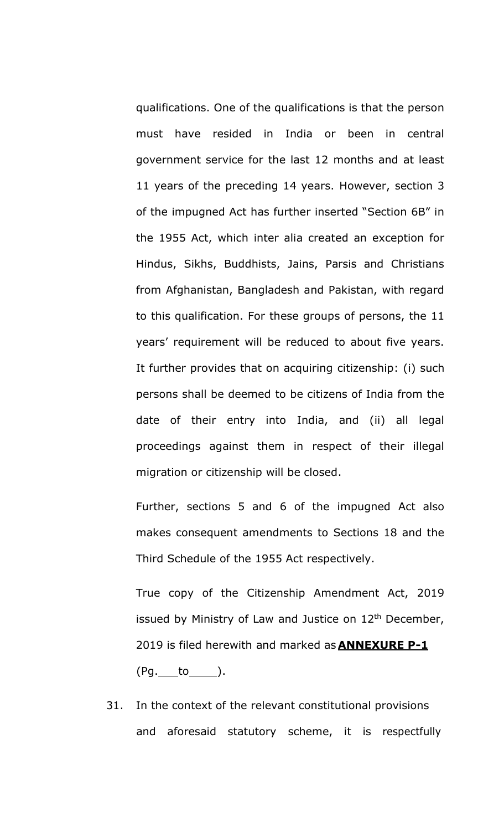qualifications. One of the qualifications is that the person must have resided in India or been in central government service for the last 12 months and at least 11 years of the preceding 14 years. However, section 3 of the impugned Act has further inserted "Section 6B" in the 1955 Act, which inter alia created an exception for Hindus, Sikhs, Buddhists, Jains, Parsis and Christians from Afghanistan, Bangladesh and Pakistan, with regard to this qualification. For these groups of persons, the 11 years' requirement will be reduced to about five years. It further provides that on acquiring citizenship: (i) such persons shall be deemed to be citizens of India from the date of their entry into India, and (ii) all legal proceedings against them in respect of their illegal migration or citizenship will be closed.

Further, sections 5 and 6 of the impugned Act also makes consequent amendments to Sections 18 and the Third Schedule of the 1955 Act respectively.

True copy of the Citizenship Amendment Act, 2019 issued by Ministry of Law and Justice on  $12<sup>th</sup>$  December, 2019 is filed herewith and marked as **ANNEXURE P-1**  $(Pg.$  to  $)$ .

31. In the context of the relevant constitutional provisions and aforesaid statutory scheme, it is respectfully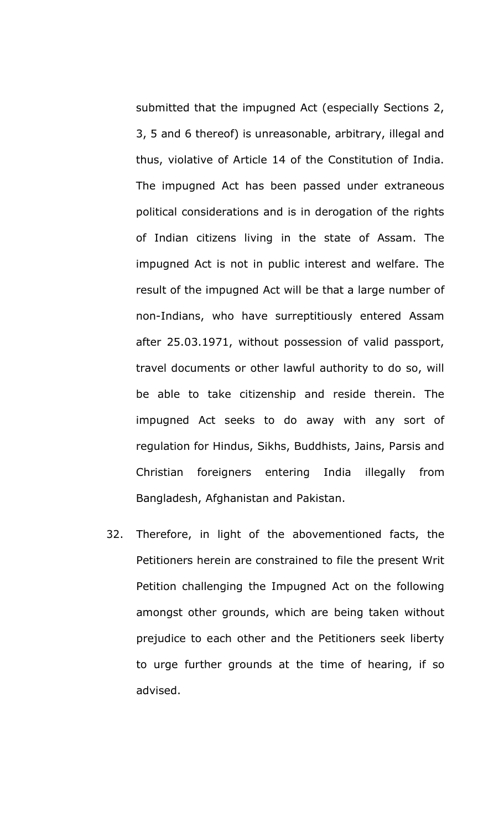submitted that the impugned Act (especially Sections 2, 3, 5 and 6 thereof) is unreasonable, arbitrary, illegal and thus, violative of Article 14 of the Constitution of India. The impugned Act has been passed under extraneous political considerations and is in derogation of the rights of Indian citizens living in the state of Assam. The impugned Act is not in public interest and welfare. The result of the impugned Act will be that a large number of non-Indians, who have surreptitiously entered Assam after 25.03.1971, without possession of valid passport, travel documents or other lawful authority to do so, will be able to take citizenship and reside therein. The impugned Act seeks to do away with any sort of regulation for Hindus, Sikhs, Buddhists, Jains, Parsis and Christian foreigners entering India illegally from Bangladesh, Afghanistan and Pakistan.

32. Therefore, in light of the abovementioned facts, the Petitioners herein are constrained to file the present Writ Petition challenging the Impugned Act on the following amongst other grounds, which are being taken without prejudice to each other and the Petitioners seek liberty to urge further grounds at the time of hearing, if so advised.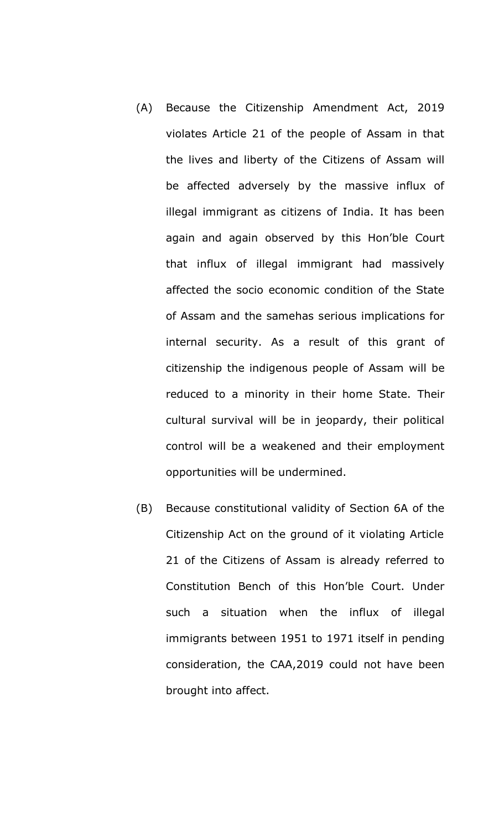- (A) Because the Citizenship Amendment Act, 2019 violates Article 21 of the people of Assam in that the lives and liberty of the Citizens of Assam will be affected adversely by the massive influx of illegal immigrant as citizens of India. It has been again and again observed by this Hon'ble Court that influx of illegal immigrant had massively affected the socio economic condition of the State of Assam and the samehas serious implications for internal security. As a result of this grant of citizenship the indigenous people of Assam will be reduced to a minority in their home State. Their cultural survival will be in jeopardy, their political control will be a weakened and their employment opportunities will be undermined.
- (B) Because constitutional validity of Section 6A of the Citizenship Act on the ground of it violating Article 21 of the Citizens of Assam is already referred to Constitution Bench of this Hon'ble Court. Under such a situation when the influx of illegal immigrants between 1951 to 1971 itself in pending consideration, the CAA,2019 could not have been brought into affect.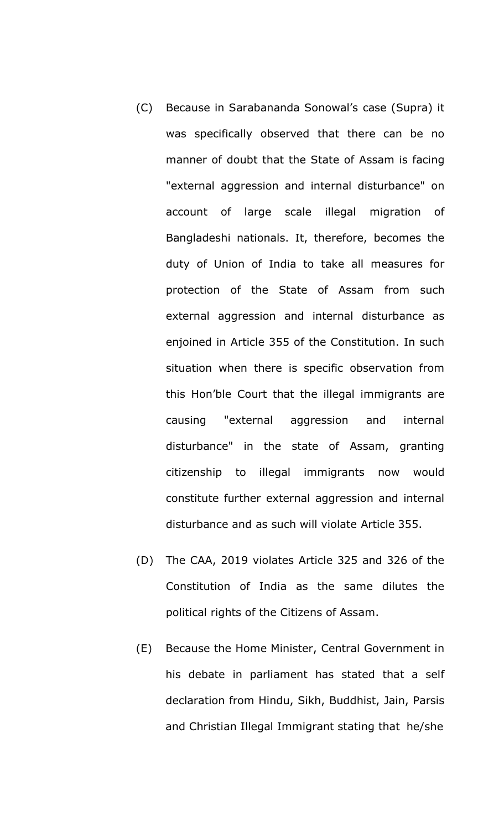- (C) Because in Sarabananda Sonowal's case (Supra) it was specifically observed that there can be no manner of doubt that the State of Assam is facing "external aggression and internal disturbance" on account of large scale illegal migration of Bangladeshi nationals. It, therefore, becomes the duty of Union of India to take all measures for protection of the State of Assam from such external aggression and internal disturbance as enjoined in Article 355 of the Constitution. In such situation when there is specific observation from this Hon'ble Court that the illegal immigrants are causing "external aggression and internal disturbance" in the state of Assam, granting citizenship to illegal immigrants now would constitute further external aggression and internal disturbance and as such will violate Article 355.
- (D) The CAA, 2019 violates Article 325 and 326 of the Constitution of India as the same dilutes the political rights of the Citizens of Assam.
- (E) Because the Home Minister, Central Government in his debate in parliament has stated that a self declaration from Hindu, Sikh, Buddhist, Jain, Parsis and Christian Illegal Immigrant stating that he/she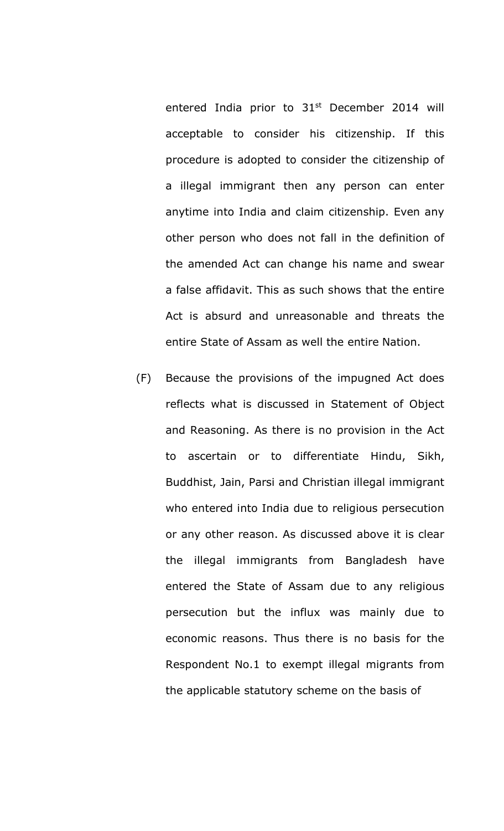entered India prior to 31<sup>st</sup> December 2014 will acceptable to consider his citizenship. If this procedure is adopted to consider the citizenship of a illegal immigrant then any person can enter anytime into India and claim citizenship. Even any other person who does not fall in the definition of the amended Act can change his name and swear a false affidavit. This as such shows that the entire Act is absurd and unreasonable and threats the entire State of Assam as well the entire Nation.

(F) Because the provisions of the impugned Act does reflects what is discussed in Statement of Object and Reasoning. As there is no provision in the Act to ascertain or to differentiate Hindu, Sikh, Buddhist, Jain, Parsi and Christian illegal immigrant who entered into India due to religious persecution or any other reason. As discussed above it is clear the illegal immigrants from Bangladesh have entered the State of Assam due to any religious persecution but the influx was mainly due to economic reasons. Thus there is no basis for the Respondent No.1 to exempt illegal migrants from the applicable statutory scheme on the basis of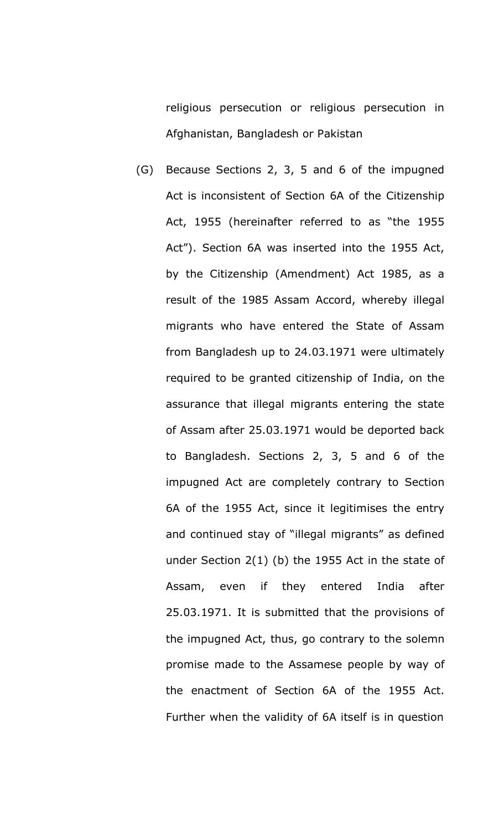religious persecution or religious persecution in Afghanistan, Bangladesh or Pakistan

(G) Because Sections 2, 3, 5 and 6 of the impugned Act is inconsistent of Section 6A of the Citizenship Act, 1955 (hereinafter referred to as "the 1955 Act"). Section 6A was inserted into the 1955 Act, by the Citizenship (Amendment) Act 1985, as a result of the 1985 Assam Accord, whereby illegal migrants who have entered the State of Assam from Bangladesh up to 24.03.1971 were ultimately required to be granted citizenship of India, on the assurance that illegal migrants entering the state of Assam after 25.03.1971 would be deported back to Bangladesh. Sections 2, 3, 5 and 6 of the impugned Act are completely contrary to Section 6A of the 1955 Act, since it legitimises the entry and continued stay of "illegal migrants" as defined under Section 2(1) (b) the 1955 Act in the state of Assam, even if they entered India after 25.03.1971. It is submitted that the provisions of the impugned Act, thus, go contrary to the solemn promise made to the Assamese people by way of the enactment of Section 6A of the 1955 Act. Further when the validity of 6A itself is in question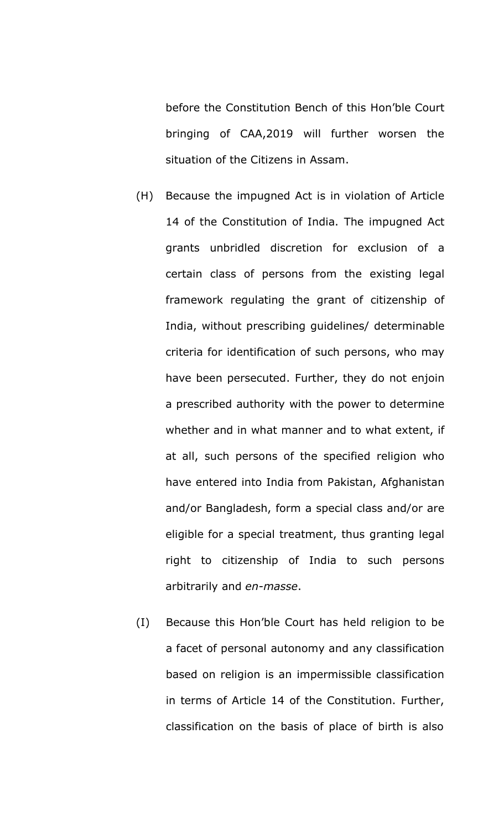before the Constitution Bench of this Hon'ble Court bringing of CAA,2019 will further worsen the situation of the Citizens in Assam.

- (H) Because the impugned Act is in violation of Article 14 of the Constitution of India. The impugned Act grants unbridled discretion for exclusion of a certain class of persons from the existing legal framework regulating the grant of citizenship of India, without prescribing guidelines/ determinable criteria for identification of such persons, who may have been persecuted. Further, they do not enjoin a prescribed authority with the power to determine whether and in what manner and to what extent, if at all, such persons of the specified religion who have entered into India from Pakistan, Afghanistan and/or Bangladesh, form a special class and/or are eligible for a special treatment, thus granting legal right to citizenship of India to such persons arbitrarily and *en-masse*.
- (I) Because this Hon'ble Court has held religion to be a facet of personal autonomy and any classification based on religion is an impermissible classification in terms of Article 14 of the Constitution. Further, classification on the basis of place of birth is also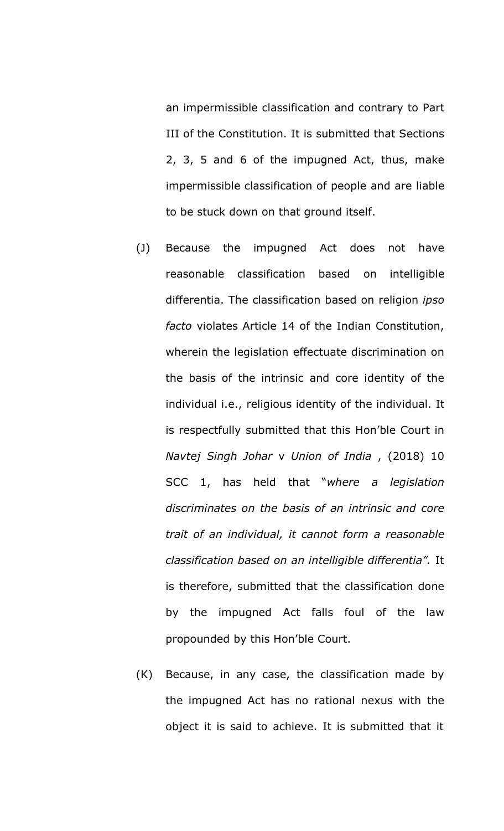an impermissible classification and contrary to Part III of the Constitution. It is submitted that Sections 2, 3, 5 and 6 of the impugned Act, thus, make impermissible classification of people and are liable to be stuck down on that ground itself.

- (J) Because the impugned Act does not have reasonable classification based on intelligible differentia. The classification based on religion *ipso facto* violates Article 14 of the Indian Constitution, wherein the legislation effectuate discrimination on the basis of the intrinsic and core identity of the individual i.e., religious identity of the individual. It is respectfully submitted that this Hon'ble Court in *Navtej Singh Johar* v *Union of India* , (2018) 10 SCC 1, has held that "*where a legislation discriminates on the basis of an intrinsic and core trait of an individual, it cannot form a reasonable classification based on an intelligible differentia".* It is therefore, submitted that the classification done by the impugned Act falls foul of the law propounded by this Hon'ble Court.
- (K) Because, in any case, the classification made by the impugned Act has no rational nexus with the object it is said to achieve. It is submitted that it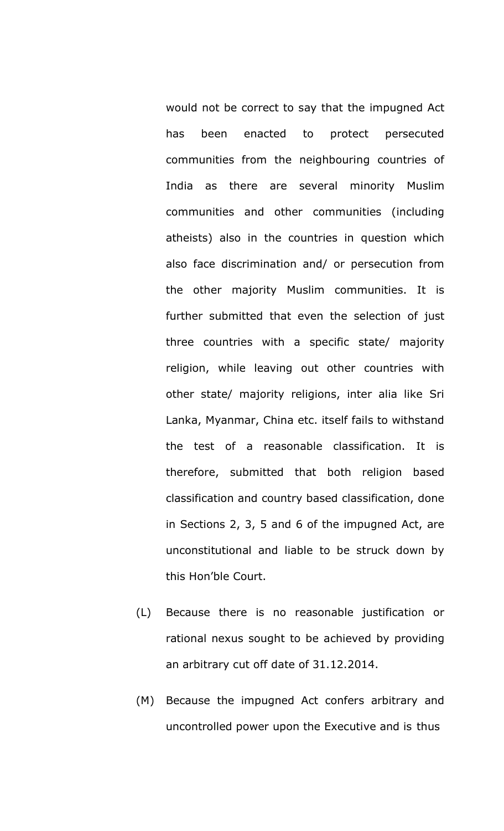would not be correct to say that the impugned Act has been enacted to protect persecuted communities from the neighbouring countries of India as there are several minority Muslim communities and other communities (including atheists) also in the countries in question which also face discrimination and/ or persecution from the other majority Muslim communities. It is further submitted that even the selection of just three countries with a specific state/ majority religion, while leaving out other countries with other state/ majority religions, inter alia like Sri Lanka, Myanmar, China etc. itself fails to withstand the test of a reasonable classification. It is therefore, submitted that both religion based classification and country based classification, done in Sections 2, 3, 5 and 6 of the impugned Act, are unconstitutional and liable to be struck down by this Hon'ble Court.

- (L) Because there is no reasonable justification or rational nexus sought to be achieved by providing an arbitrary cut off date of 31.12.2014.
- (M) Because the impugned Act confers arbitrary and uncontrolled power upon the Executive and is thus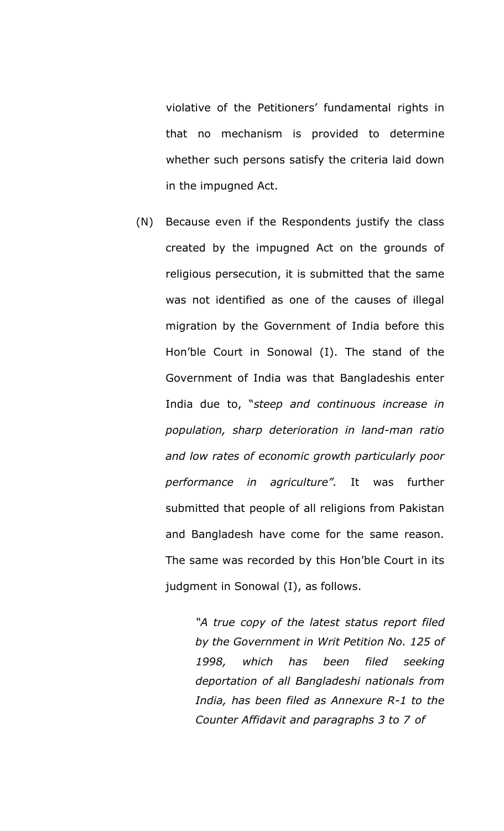violative of the Petitioners' fundamental rights in that no mechanism is provided to determine whether such persons satisfy the criteria laid down in the impugned Act.

(N) Because even if the Respondents justify the class created by the impugned Act on the grounds of religious persecution, it is submitted that the same was not identified as one of the causes of illegal migration by the Government of India before this Hon'ble Court in Sonowal (I). The stand of the Government of India was that Bangladeshis enter India due to, "*steep and continuous increase in population, sharp deterioration in land-man ratio and low rates of economic growth particularly poor performance in agriculture".* It was further submitted that people of all religions from Pakistan and Bangladesh have come for the same reason. The same was recorded by this Hon'ble Court in its judgment in Sonowal (I), as follows.

> *"A true copy of the latest status report filed by the Government in Writ Petition No. 125 of 1998, which has been filed seeking deportation of all Bangladeshi nationals from India, has been filed as Annexure R-1 to the Counter Affidavit and paragraphs 3 to 7 of*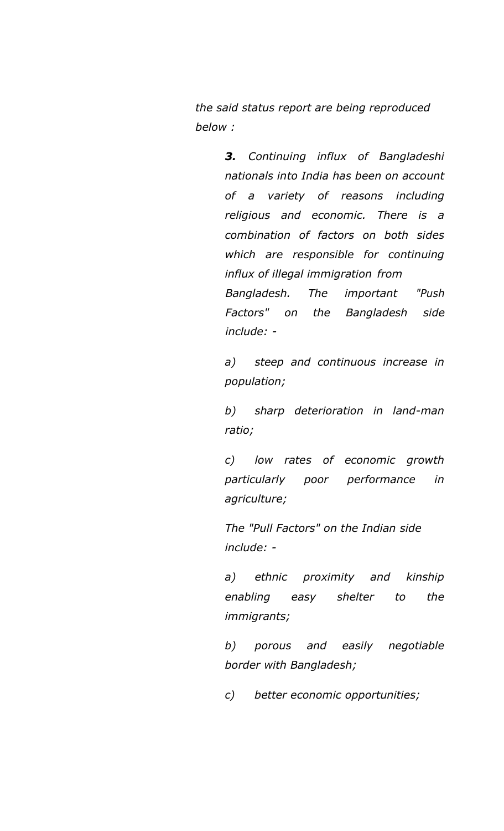*the said status report are being reproduced below :*

> *3. Continuing influx of Bangladeshi nationals into India has been on account of a variety of reasons including religious and economic. There is a combination of factors on both sides which are responsible for continuing influx of illegal immigration from Bangladesh. The important "Push Factors" on the Bangladesh side*

> *a) steep and continuous increase in population;*

*include: -*

*b) sharp deterioration in land-man ratio;*

*c) low rates of economic growth particularly poor performance in agriculture;*

*The "Pull Factors" on the Indian side include: -*

*a) ethnic proximity and kinship enabling easy shelter to the immigrants;*

*b) porous and easily negotiable border with Bangladesh;*

*c) better economic opportunities;*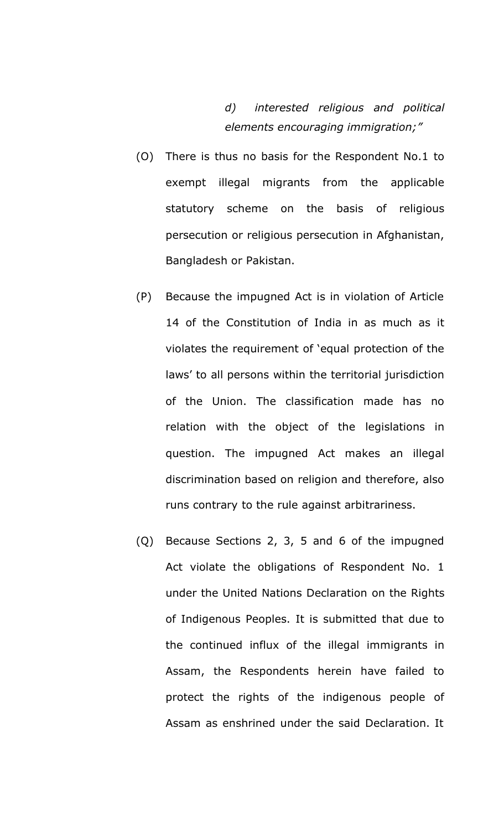*d) interested religious and political elements encouraging immigration;"*

- (O) There is thus no basis for the Respondent No.1 to exempt illegal migrants from the applicable statutory scheme on the basis of religious persecution or religious persecution in Afghanistan, Bangladesh or Pakistan.
- (P) Because the impugned Act is in violation of Article 14 of the Constitution of India in as much as it violates the requirement of 'equal protection of the laws' to all persons within the territorial jurisdiction of the Union. The classification made has no relation with the object of the legislations in question. The impugned Act makes an illegal discrimination based on religion and therefore, also runs contrary to the rule against arbitrariness.
- (Q) Because Sections 2, 3, 5 and 6 of the impugned Act violate the obligations of Respondent No. 1 under the United Nations Declaration on the Rights of Indigenous Peoples. It is submitted that due to the continued influx of the illegal immigrants in Assam, the Respondents herein have failed to protect the rights of the indigenous people of Assam as enshrined under the said Declaration. It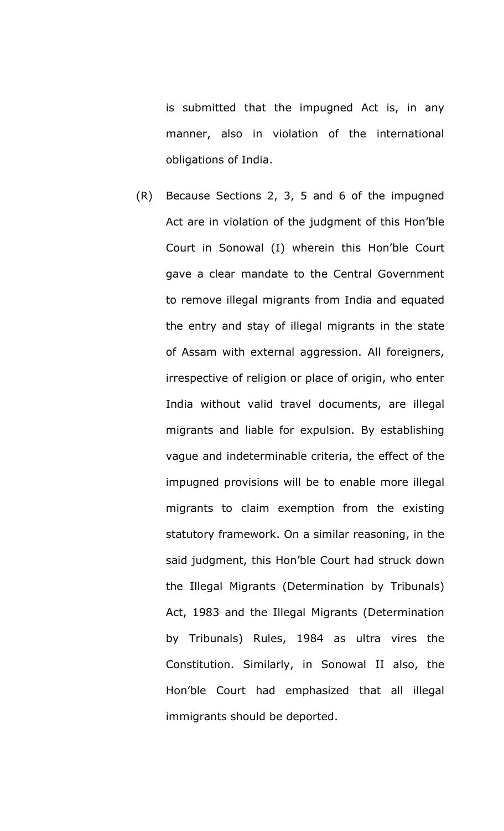is submitted that the impugned Act is, in any manner, also in violation of the international obligations of India.

(R) Because Sections 2, 3, 5 and 6 of the impugned Act are in violation of the judgment of this Hon'ble Court in Sonowal (I) wherein this Hon'ble Court gave a clear mandate to the Central Government to remove illegal migrants from India and equated the entry and stay of illegal migrants in the state of Assam with external aggression. All foreigners, irrespective of religion or place of origin, who enter India without valid travel documents, are illegal migrants and liable for expulsion. By establishing vague and indeterminable criteria, the effect of the impugned provisions will be to enable more illegal migrants to claim exemption from the existing statutory framework. On a similar reasoning, in the said judgment, this Hon'ble Court had struck down the Illegal Migrants (Determination by Tribunals) Act, 1983 and the Illegal Migrants (Determination by Tribunals) Rules, 1984 as ultra vires the Constitution. Similarly, in Sonowal II also, the Hon'ble Court had emphasized that all illegal immigrants should be deported.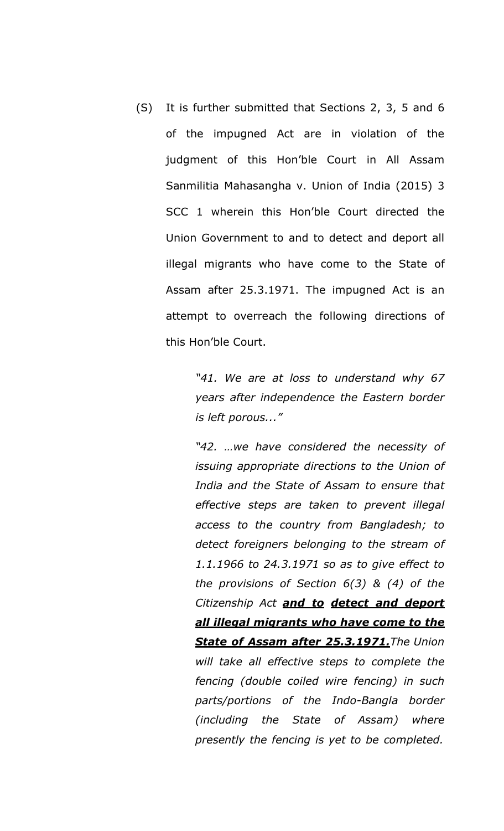(S) It is further submitted that Sections 2, 3, 5 and 6 of the impugned Act are in violation of the judgment of this Hon'ble Court in All Assam Sanmilitia Mahasangha v. Union of India (2015) 3 SCC 1 wherein this Hon'ble Court directed the Union Government to and to detect and deport all illegal migrants who have come to the State of Assam after 25.3.1971. The impugned Act is an attempt to overreach the following directions of this Hon'ble Court.

> *"41. We are at loss to understand why 67 years after independence the Eastern border is left porous..."*

> *"42. …we have considered the necessity of issuing appropriate directions to the Union of India and the State of Assam to ensure that effective steps are taken to prevent illegal access to the country from Bangladesh; to detect foreigners belonging to the stream of 1.1.1966 to 24.3.1971 so as to give effect to the provisions of Section 6(3) & (4) of the Citizenship Act and to detect and deport all illegal migrants who have come to the State of Assam after 25.3.1971.The Union will take all effective steps to complete the fencing (double coiled wire fencing) in such parts/portions of the Indo-Bangla border (including the State of Assam) where presently the fencing is yet to be completed.*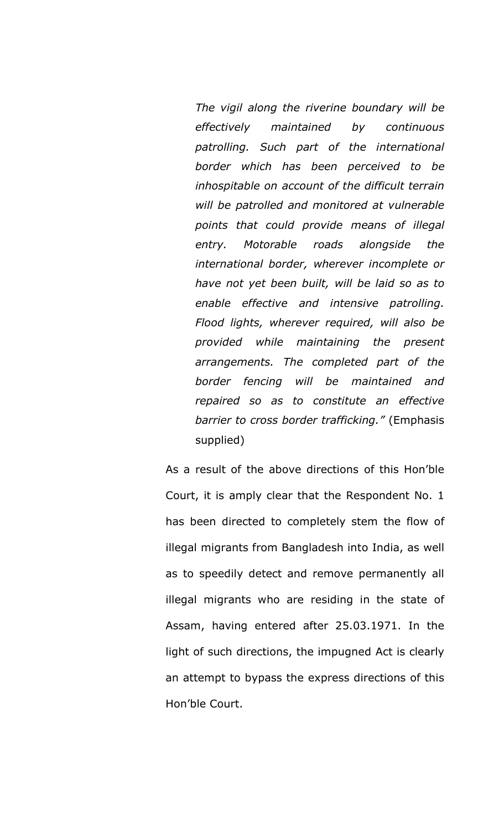*The vigil along the riverine boundary will be effectively maintained by continuous patrolling. Such part of the international border which has been perceived to be inhospitable on account of the difficult terrain will be patrolled and monitored at vulnerable points that could provide means of illegal entry. Motorable roads alongside the international border, wherever incomplete or have not yet been built, will be laid so as to enable effective and intensive patrolling. Flood lights, wherever required, will also be provided while maintaining the present arrangements. The completed part of the border fencing will be maintained and repaired so as to constitute an effective barrier to cross border trafficking."* (Emphasis supplied)

As a result of the above directions of this Hon'ble Court, it is amply clear that the Respondent No. 1 has been directed to completely stem the flow of illegal migrants from Bangladesh into India, as well as to speedily detect and remove permanently all illegal migrants who are residing in the state of Assam, having entered after 25.03.1971. In the light of such directions, the impugned Act is clearly an attempt to bypass the express directions of this Hon'ble Court.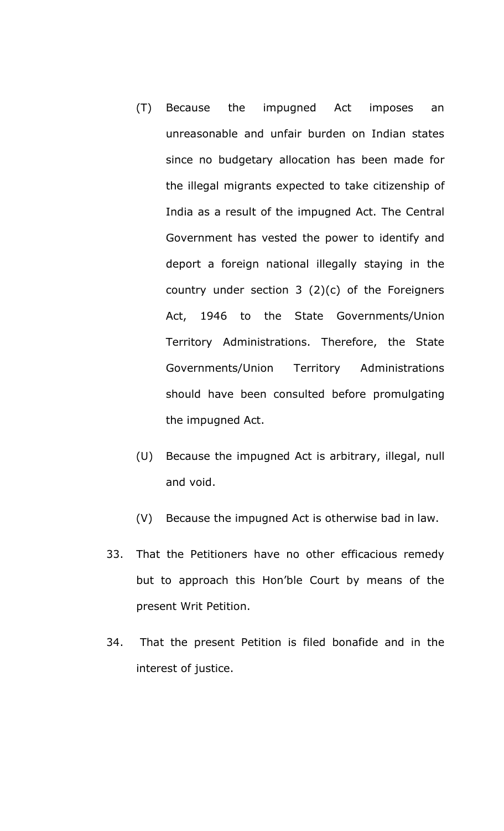- (T) Because the impugned Act imposes an unreasonable and unfair burden on Indian states since no budgetary allocation has been made for the illegal migrants expected to take citizenship of India as a result of the impugned Act. The Central Government has vested the power to identify and deport a foreign national illegally staying in the country under section 3 (2)(c) of the Foreigners Act, 1946 to the State Governments/Union Territory Administrations. Therefore, the State Governments/Union Territory Administrations should have been consulted before promulgating the impugned Act.
- (U) Because the impugned Act is arbitrary, illegal, null and void.
- (V) Because the impugned Act is otherwise bad in law.
- 33. That the Petitioners have no other efficacious remedy but to approach this Hon'ble Court by means of the present Writ Petition.
- 34. That the present Petition is filed bonafide and in the interest of justice.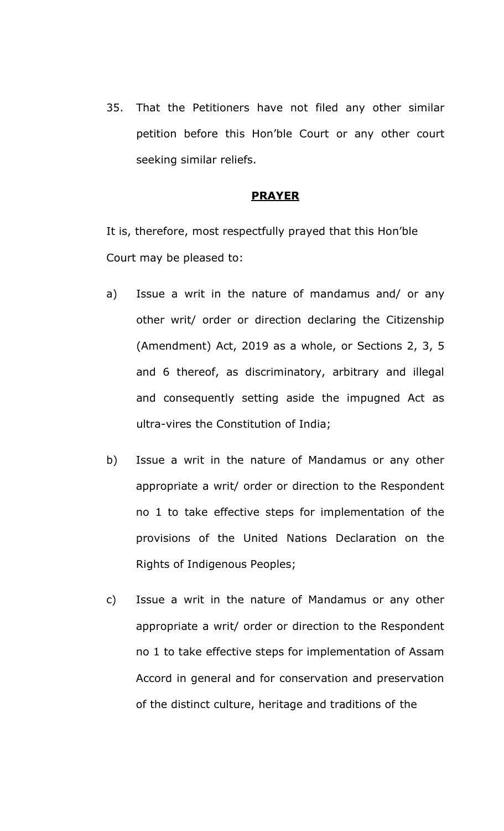35. That the Petitioners have not filed any other similar petition before this Hon'ble Court or any other court seeking similar reliefs.

#### **PRAYER**

It is, therefore, most respectfully prayed that this Hon'ble Court may be pleased to:

- a) Issue a writ in the nature of mandamus and/ or any other writ/ order or direction declaring the Citizenship (Amendment) Act, 2019 as a whole, or Sections 2, 3, 5 and 6 thereof, as discriminatory, arbitrary and illegal and consequently setting aside the impugned Act as ultra-vires the Constitution of India;
- b) Issue a writ in the nature of Mandamus or any other appropriate a writ/ order or direction to the Respondent no 1 to take effective steps for implementation of the provisions of the United Nations Declaration on the Rights of Indigenous Peoples;
- c) Issue a writ in the nature of Mandamus or any other appropriate a writ/ order or direction to the Respondent no 1 to take effective steps for implementation of Assam Accord in general and for conservation and preservation of the distinct culture, heritage and traditions of the